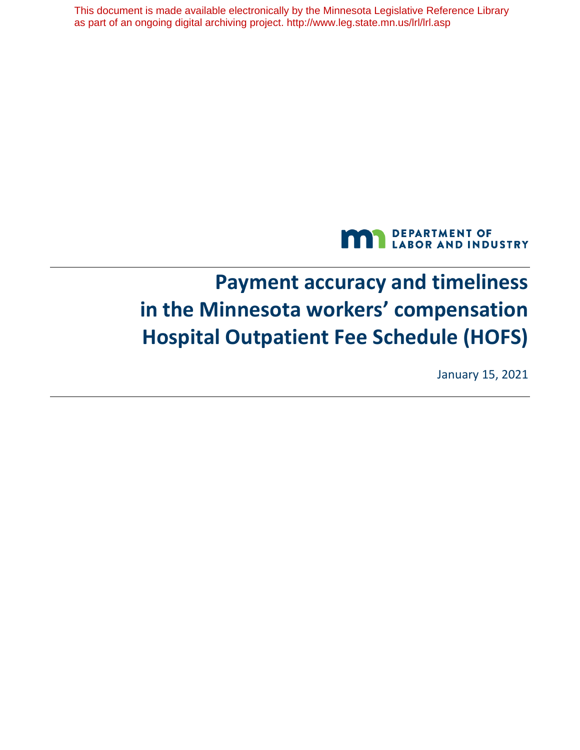This document is made available electronically by the Minnesota Legislative Reference Library as part of an ongoing digital archiving project. http://www.leg.state.mn.us/lrl/lrl.asp



# **Payment accuracy and timeliness in the Minnesota workers' compensation Hospital Outpatient Fee Schedule (HOFS)**

January 15, 2021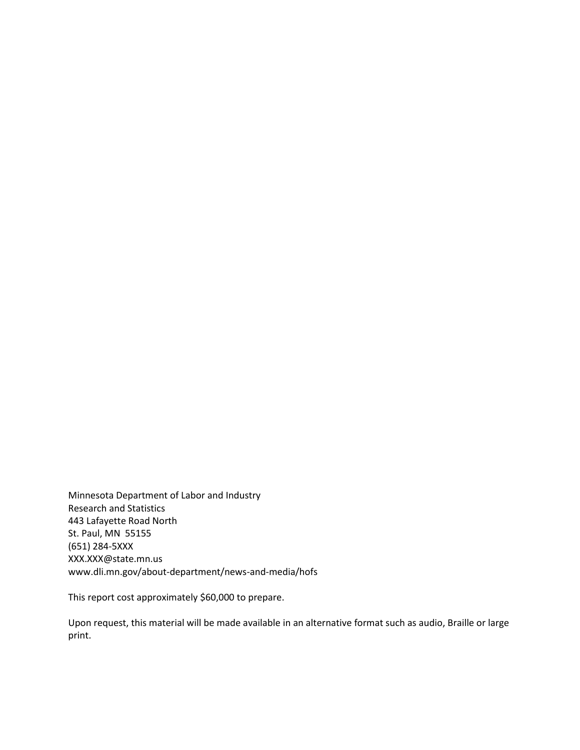St. Paul, MN 55155 Minnesota Department of Labor and Industry Research and Statistics 443 Lafayette Road North (651) 284-5XXX [XXX.XXX@state.mn.us](mailto:XXX.XXX@state.mn.us)  <www.dli.mn.gov/about-department/news-and-media/hofs>

This report cost approximately \$60,000 to prepare.

Upon request, this material will be made available in an alternative format such as audio, Braille or large print.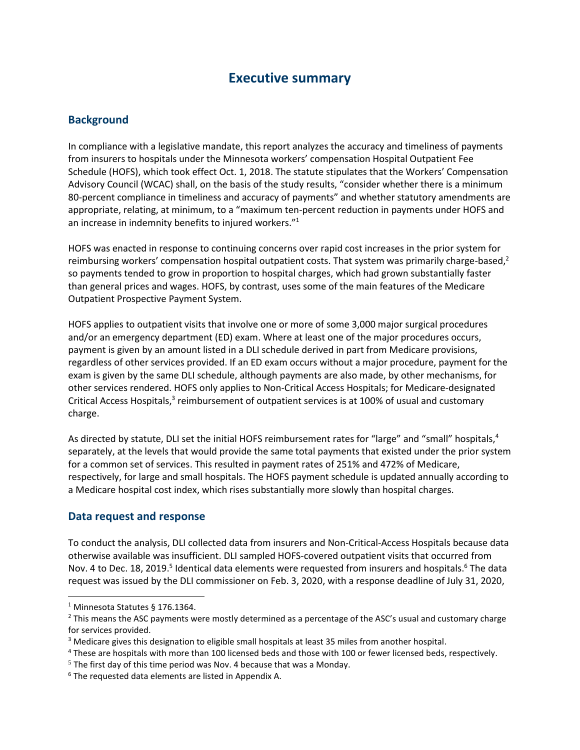### **Executive summary**

#### **Background**

In compliance with a legislative mandate, this report analyzes the accuracy and timeliness of payments from insurers to hospitals under the Minnesota workers' compensation Hospital Outpatient Fee Schedule (HOFS), which took effect Oct. 1, 2018. The statute stipulates that the Workers' Compensation Advisory Council (WCAC) shall, on the basis of the study results, "consider whether there is a minimum 80-percent compliance in timeliness and accuracy of payments" and whether statutory amendments are appropriate, relating, at minimum, to a "maximum ten-percent reduction in payments under HOFS and an increase in indemnity benefits to injured workers."<sup>1</sup>

HOFS was enacted in response to continuing concerns over rapid cost increases in the prior system for reimbursing workers' compensation hospital outpatient costs. That system was primarily charge-based,<sup>2</sup> so payments tended to grow in proportion to hospital charges, which had grown substantially faster than general prices and wages. HOFS, by contrast, uses some of the main features of the Medicare Outpatient Prospective Payment System.

 HOFS applies to outpatient visits that involve one or more of some 3,000 major surgical procedures and/or an emergency department (ED) exam. Where at least one of the major procedures occurs, payment is given by an amount listed in a DLI schedule derived in part from Medicare provisions, regardless of other services provided. If an ED exam occurs without a major procedure, payment for the exam is given by the same DLI schedule, although payments are also made, by other mechanisms, for other services rendered. HOFS only applies to Non-Critical Access Hospitals; for Medicare-designated Critical Access Hospitals, $3$  reimbursement of outpatient services is at 100% of usual and customary charge.

As directed by statute, DLI set the initial HOFS reimbursement rates for "large" and "small" hospitals,<sup>4</sup> separately, at the levels that would provide the same total payments that existed under the prior system for a common set of services. This resulted in payment rates of 251% and 472% of Medicare, respectively, for large and small hospitals. The HOFS payment schedule is updated annually according to a Medicare hospital cost index, which rises substantially more slowly than hospital charges.

#### **Data request and response**

To conduct the analysis, DLI collected data from insurers and Non-Critical-Access Hospitals because data otherwise available was insufficient. DLI sampled HOFS-covered outpatient visits that occurred from Nov. 4 to Dec. 18, 2019.<sup>5</sup> Identical data elements were requested from insurers and hospitals.<sup>6</sup> The data request was issued by the DLI commissioner on Feb. 3, 2020, with a response deadline of July 31, 2020,

<sup>&</sup>lt;sup>1</sup> Minnesota Statutes § 176.1364.<br><sup>2</sup> This means the ASC payments were mostly determined as a percentage of the ASC's usual and customary charge for services provided.

<sup>&</sup>lt;sup>3</sup> Medicare gives this designation to eligible small hospitals at least 35 miles from another hospital.<br><sup>4</sup> These are hospitals with more than 100 licensed beds and those with 100 or fewer licensed beds, respectively.

 $5$  The first day of this time period was Nov. 4 because that was a Monday.

<sup>6</sup> The requested data elements are listed in Appendix A.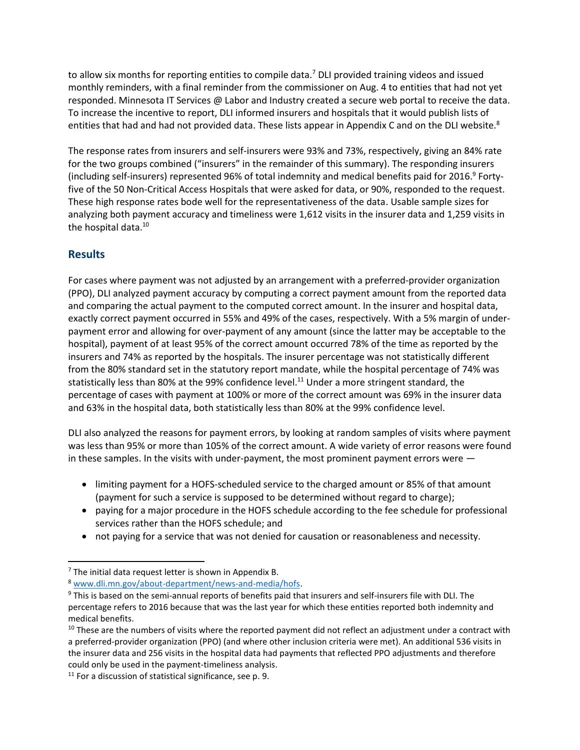to allow six months for reporting entities to compile data.<sup>7</sup> DLI provided training videos and issued monthly reminders, with a final reminder from the commissioner on Aug. 4 to entities that had not yet responded. Minnesota IT Services @ Labor and Industry created a secure web portal to receive the data. To increase the incentive to report, DLI informed insurers and hospitals that it would publish lists of entities that had and had not provided data. These lists appear in Appendix C and on the DLI website.<sup>8</sup>

 analyzing both payment accuracy and timeliness were 1,612 visits in the insurer data and 1,259 visits in The response rates from insurers and self-insurers were 93% and 73%, respectively, giving an 84% rate for the two groups combined ("insurers" in the remainder of this summary). The responding insurers (including self-insurers) represented 96% of total indemnity and medical benefits paid for 2016. 9 Fortyfive of the 50 Non-Critical Access Hospitals that were asked for data, or 90%, responded to the request. These high response rates bode well for the representativeness of the data. Usable sample sizes for the hospital data.<sup>10</sup>

#### **Results**

For cases where payment was not adjusted by an arrangement with a preferred-provider organization (PPO), DLI analyzed payment accuracy by computing a correct payment amount from the reported data and comparing the actual payment to the computed correct amount. In the insurer and hospital data, exactly correct payment occurred in 55% and 49% of the cases, respectively. With a 5% margin of underpayment error and allowing for over-payment of any amount (since the latter may be acceptable to the hospital), payment of at least 95% of the correct amount occurred 78% of the time as reported by the insurers and 74% as reported by the hospitals. The insurer percentage was not statistically different from the 80% standard set in the statutory report mandate, while the hospital percentage of 74% was statistically less than 80% at the 99% confidence level.<sup>11</sup> Under a more stringent standard, the percentage of cases with payment at 100% or more of the correct amount was 69% in the insurer data and 63% in the hospital data, both statistically less than 80% at the 99% confidence level.

DLI also analyzed the reasons for payment errors, by looking at random samples of visits where payment was less than 95% or more than 105% of the correct amount. A wide variety of error reasons were found in these samples. In the visits with under-payment, the most prominent payment errors were —

- limiting payment for a HOFS-scheduled service to the charged amount or 85% of that amount (payment for such a service is supposed to be determined without regard to charge);
- paying for a major procedure in the HOFS schedule according to the fee schedule for professional services rather than the HOFS schedule; and
- not paying for a service that was not denied for causation or reasonableness and necessity.

<sup>&</sup>lt;sup>7</sup> The initial data request letter is shown in Appendix B.<br><sup>8</sup> www.dli.mn.gov/about-department/news-and-media/hofs.<br><sup>9</sup> This is based on the semi-annual reports of benefits paid that insurers and self-insurers file with percentage refers to 2016 because that was the last year for which these entities reported both indemnity and medical benefits.

 $10$  These are the numbers of visits where the reported payment did not reflect an adjustment under a contract with a preferred-provider organization (PPO) (and where other inclusion criteria were met). An additional 536 visits in the insurer data and 256 visits in the hospital data had payments that reflected PPO adjustments and therefore

could only be used in the payment-timeliness analysis.<br><sup>11</sup> For a discussion of statistical significance, see p. 9.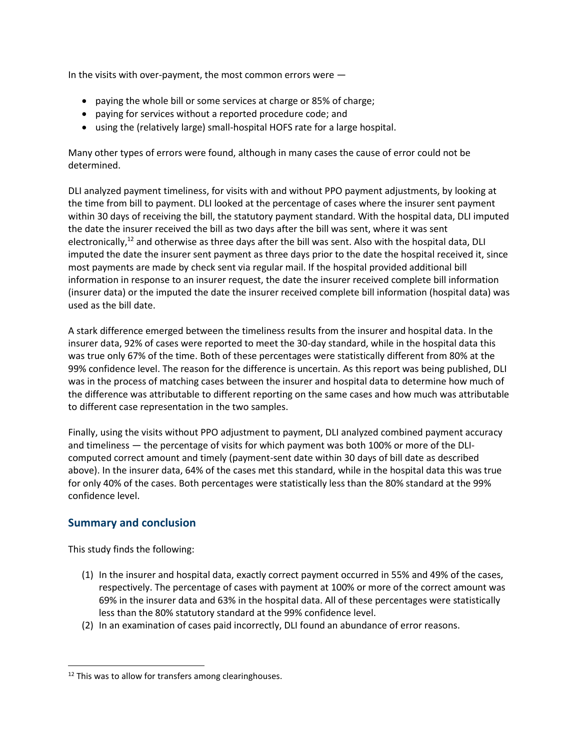In the visits with over-payment, the most common errors were —

- paying the whole bill or some services at charge or 85% of charge;
- paying for services without a reported procedure code; and
- using the (relatively large) small-hospital HOFS rate for a large hospital.

Many other types of errors were found, although in many cases the cause of error could not be determined.

DLI analyzed payment timeliness, for visits with and without PPO payment adjustments, by looking at the time from bill to payment. DLI looked at the percentage of cases where the insurer sent payment within 30 days of receiving the bill, the statutory payment standard. With the hospital data, DLI imputed the date the insurer received the bill as two days after the bill was sent, where it was sent electronically, $12$  and otherwise as three days after the bill was sent. Also with the hospital data, DLI imputed the date the insurer sent payment as three days prior to the date the hospital received it, since most payments are made by check sent via regular mail. If the hospital provided additional bill information in response to an insurer request, the date the insurer received complete bill information (insurer data) or the imputed the date the insurer received complete bill information (hospital data) was used as the bill date.

A stark difference emerged between the timeliness results from the insurer and hospital data. In the insurer data, 92% of cases were reported to meet the 30-day standard, while in the hospital data this was true only 67% of the time. Both of these percentages were statistically different from 80% at the 99% confidence level. The reason for the difference is uncertain. As this report was being published, DLI was in the process of matching cases between the insurer and hospital data to determine how much of the difference was attributable to different reporting on the same cases and how much was attributable to different case representation in the two samples.

Finally, using the visits without PPO adjustment to payment, DLI analyzed combined payment accuracy and timeliness — the percentage of visits for which payment was both 100% or more of the DLIcomputed correct amount and timely (payment-sent date within 30 days of bill date as described above). In the insurer data, 64% of the cases met this standard, while in the hospital data this was true for only 40% of the cases. Both percentages were statistically less than the 80% standard at the 99% confidence level.

#### **Summary and conclusion**

This study finds the following:

- (1) In the insurer and hospital data, exactly correct payment occurred in 55% and 49% of the cases, respectively. The percentage of cases with payment at 100% or more of the correct amount was 69% in the insurer data and 63% in the hospital data. All of these percentages were statistically less than the 80% statutory standard at the 99% confidence level.
- (2) In an examination of cases paid incorrectly, DLI found an abundance of error reasons.

<sup>&</sup>lt;sup>12</sup> This was to allow for transfers among clearinghouses.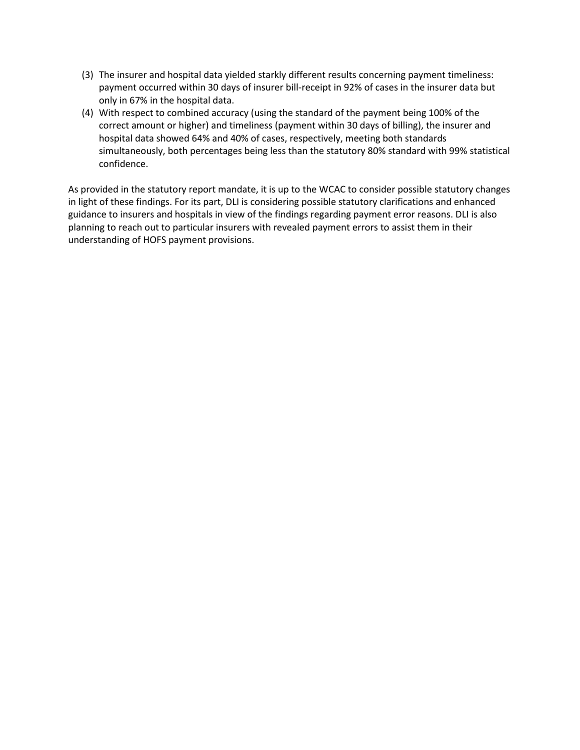- (3) The insurer and hospital data yielded starkly different results concerning payment timeliness: (3) The insurer and hospital data yielded starkly different results concerning payment timeliness: payment occurred within 30 days of insurer bill-receipt in 92% of cases in the insurer data but only in 67% in the hospital data.
- (4) With respect to combined accuracy (using the standard of the payment being 100% of the correct amount or higher) and timeliness (payment within 30 days of billing), the insurer and hospital data showed 64% and 40% of cases, respectively, meeting both standards simultaneously, both percentages being less than the statutory 80% standard with 99% statistical confidence.

As provided in the statutory report mandate, it is up to the WCAC to consider possible statutory changes in light of these findings. For its part, DLI is considering possible statutory clarifications and enhanced guidance to insurers and hospitals in view of the findings regarding payment error reasons. DLI is also planning to reach out to particular insurers with revealed payment errors to assist them in their understanding of HOFS payment provisions.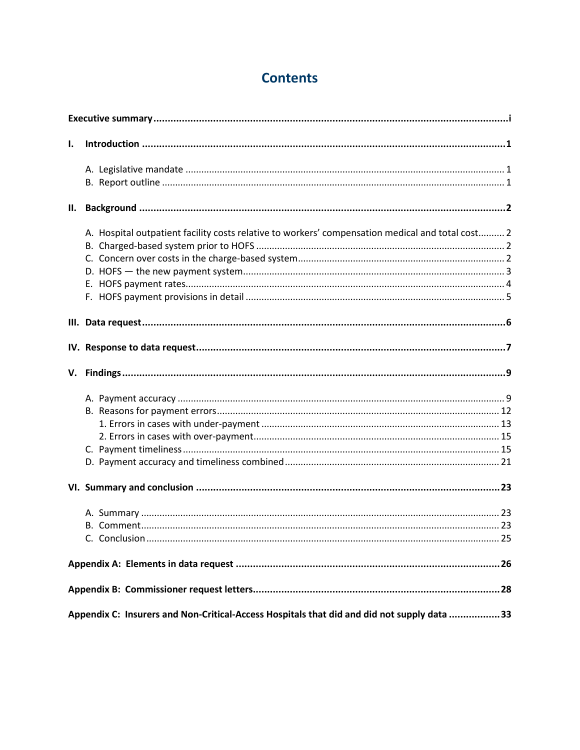# **Contents**

| I.  |                                                                                                  |
|-----|--------------------------------------------------------------------------------------------------|
|     |                                                                                                  |
|     |                                                                                                  |
| II. |                                                                                                  |
|     | A. Hospital outpatient facility costs relative to workers' compensation medical and total cost 2 |
|     |                                                                                                  |
|     |                                                                                                  |
|     |                                                                                                  |
|     |                                                                                                  |
|     |                                                                                                  |
|     |                                                                                                  |
|     |                                                                                                  |
|     |                                                                                                  |
|     |                                                                                                  |
|     |                                                                                                  |
|     |                                                                                                  |
|     |                                                                                                  |
|     |                                                                                                  |
|     |                                                                                                  |
|     |                                                                                                  |
|     |                                                                                                  |
|     |                                                                                                  |
|     |                                                                                                  |
|     |                                                                                                  |
|     |                                                                                                  |
|     | Appendix C: Insurers and Non-Critical-Access Hospitals that did and did not supply data 33       |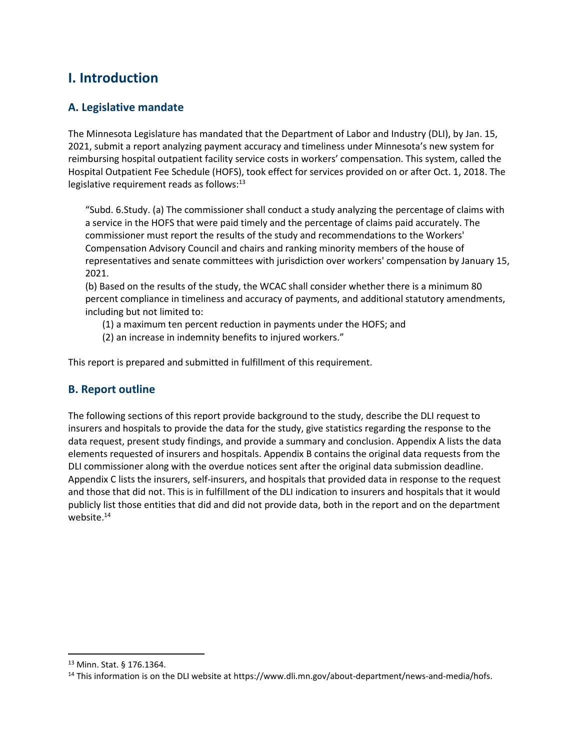# <span id="page-8-0"></span>**I. Introduction**

### **A. Legislative mandate**

The Minnesota Legislature has mandated that the Department of Labor and Industry (DLI), by Jan. 15, 2021, submit a report analyzing payment accuracy and timeliness under Minnesota's new system for reimbursing hospital outpatient facility service costs in workers' compensation. This system, called the Hospital Outpatient Fee Schedule (HOFS), took effect for services provided on or after Oct. 1, 2018. The legislative requirement reads as follows: $13$ 

 a service in the HOFS that were paid timely and the percentage of claims paid accurately. The "Subd. 6.Study. (a) The commissioner shall conduct a study analyzing the percentage of claims with commissioner must report the results of the study and recommendations to the Workers' Compensation Advisory Council and chairs and ranking minority members of the house of representatives and senate committees with jurisdiction over workers' compensation by January 15, 2021.

 (b) Based on the results of the study, the WCAC shall consider whether there is a minimum 80 percent compliance in timeliness and accuracy of payments, and additional statutory amendments, including but not limited to:

- (1) a maximum ten percent reduction in payments under the HOFS; and
- (2) an increase in indemnity benefits to injured workers."

This report is prepared and submitted in fulfillment of this requirement.

#### **B. Report outline**

 The following sections of this report provide background to the study, describe the DLI request to Appendix C lists the insurers, self-insurers, and hospitals that provided data in response to the request insurers and hospitals to provide the data for the study, give statistics regarding the response to the data request, present study findings, and provide a summary and conclusion. Appendix A lists the data elements requested of insurers and hospitals. Appendix B contains the original data requests from the DLI commissioner along with the overdue notices sent after the original data submission deadline. and those that did not. This is in fulfillment of the DLI indication to insurers and hospitals that it would publicly list those entities that did and did not provide data, both in the report and on the department website.<sup>14</sup>

<sup>13</sup> Minn. Stat. § 176.1364.

<sup>&</sup>lt;sup>14</sup> This information is on the DLI website at [https://www.dli.mn.gov/about-department/news-and-media/hofs.](https://www.dli.mn.gov/about-department/news-and-media/hofs)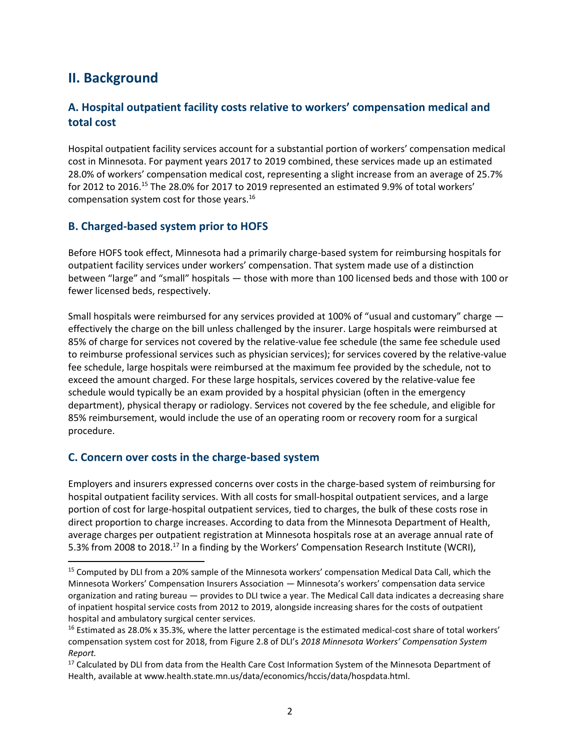# <span id="page-9-0"></span>**II. Background**

### **A. Hospital outpatient facility costs relative to workers' compensation medical and total cost**

 Hospital outpatient facility services account for a substantial portion of workers' compensation medical cost in Minnesota. For payment years 2017 to 2019 combined, these services made up an estimated 28.0% of workers' compensation medical cost, representing a slight increase from an average of 25.7% for 2012 to 2016.<sup>15</sup> The 28.0% for 2017 to 2019 represented an estimated 9.9% of total workers' compensation system cost for those [years.16](https://years.16) 

#### **B. Charged-based system prior to HOFS**

Before HOFS took effect, Minnesota had a primarily charge-based system for reimbursing hospitals for outpatient facility services under workers' compensation. That system made use of a distinction between "large" and "small" hospitals — those with more than 100 licensed beds and those with 100 or fewer licensed beds, respectively.

 Small hospitals were reimbursed for any services provided at 100% of "usual and customary" charge effectively the charge on the bill unless challenged by the insurer. Large hospitals were reimbursed at 85% of charge for services not covered by the relative-value fee schedule (the same fee schedule used to reimburse professional services such as physician services); for services covered by the relative-value fee schedule, large hospitals were reimbursed at the maximum fee provided by the schedule, not to exceed the amount charged. For these large hospitals, services covered by the relative-value fee schedule would typically be an exam provided by a hospital physician (often in the emergency department), physical therapy or radiology. Services not covered by the fee schedule, and eligible for 85% reimbursement, would include the use of an operating room or recovery room for a surgical procedure.

#### **C. Concern over costs in the charge-based system**

Employers and insurers expressed concerns over costs in the charge-based system of reimbursing for hospital outpatient facility services. With all costs for small-hospital outpatient services, and a large portion of cost for large-hospital outpatient services, tied to charges, the bulk of these costs rose in direct proportion to charge increases. According to data from the Minnesota Department of Health, average charges per outpatient registration at Minnesota hospitals rose at an average annual rate of 5.3% from 2008 to 2018.<sup>17</sup> In a finding by the Workers' Compensation Research Institute (WCRI),

<sup>&</sup>lt;sup>15</sup> Computed by DLI from a 20% sample of the Minnesota workers' compensation Medical Data Call, which the Minnesota Workers' Compensation Insurers Association — Minnesota's workers' compensation data service organization and rating bureau — provides to DLI twice a year. The Medical Call data indicates a decreasing share of inpatient hospital service costs from 2012 to 2019, alongside increasing shares for the costs of outpatient hospital and ambulatory surgical center services.

<sup>&</sup>lt;sup>16</sup> Estimated as 28.0% x 35.3%, where the latter percentage is the estimated medical-cost share of total workers' compensation system cost for 2018, from Figure 2.8 of DLI's *2018 Minnesota Workers' Compensation System Report.* 

<sup>&</sup>lt;sup>17</sup> Calculated by DLI from data from the Health Care Cost Information System of the Minnesota Department of Health, available at [www.health.state.mn.us/data/economics/hccis/data/hospdata.html.](www.health.state.mn.us/data/economics/hccis/data/hospdata.html)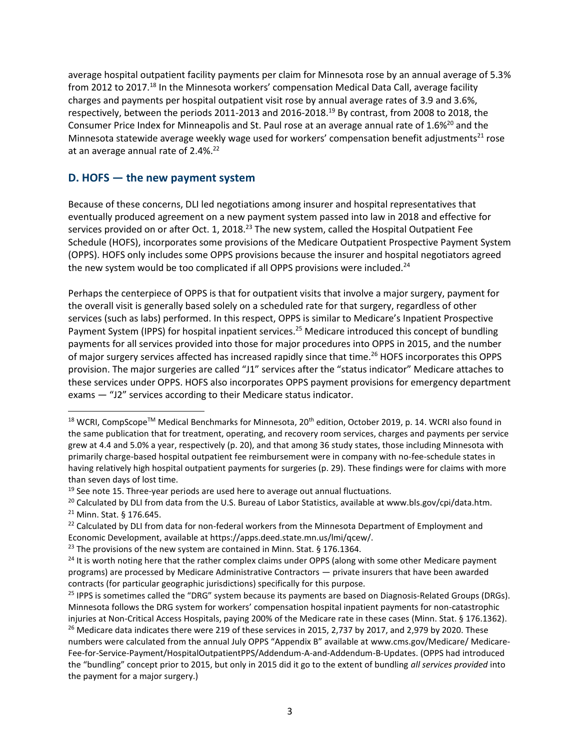<span id="page-10-0"></span>respectively, between the periods 2011-2013 and 2016-2018.<sup>19</sup> By contrast, from 2008 to 2018, the average hospital outpatient facility payments per claim for Minnesota rose by an annual average of 5.3% from 2012 to 2017.<sup>18</sup> In the Minnesota workers' compensation Medical Data Call, average facility charges and payments per hospital outpatient visit rose by annual average rates of 3.9 and 3.6%, Consumer Price Index for Minneapolis and St. Paul rose at an average annual rate of 1.6%<sup>20</sup> and the Minnesota statewide average weekly wage used for workers' compensation benefit adjustments<sup>21</sup> rose at an average annual rate of 2.4%.<sup>22</sup>

#### **D. HOFS — the new payment system**

 eventually produced agreement on a new payment system passed into law in 2018 and effective for Because of these concerns, DLI led negotiations among insurer and hospital representatives that services provided on or after Oct. 1, 2018.<sup>23</sup> The new system, called the Hospital Outpatient Fee Schedule (HOFS), incorporates some provisions of the Medicare Outpatient Prospective Payment System (OPPS). HOFS only includes some OPPS provisions because the insurer and hospital negotiators agreed the new system would be too complicated if all OPPS provisions were included.<sup>24</sup>

Perhaps the centerpiece of OPPS is that for outpatient visits that involve a major surgery, payment for the overall visit is generally based solely on a scheduled rate for that surgery, regardless of other services (such as labs) performed. In this respect, OPPS is similar to Medicare's Inpatient Prospective Payment System (IPPS) for hospital inpatient services.<sup>25</sup> Medicare introduced this concept of bundling payments for all services provided into those for major procedures into OPPS in 2015, and the number of major surgery services affected has increased rapidly since that time.26 HOFS incorporates this OPPS provision. The major surgeries are called "J1" services after the "status indicator" Medicare attaches to these services under OPPS. HOFS also incorporates OPPS payment provisions for emergency department exams — "J2" services according to their Medicare status indicator.

<sup>&</sup>lt;sup>18</sup> WCRI, CompScope<sup>™</sup> Medical Benchmarks for Minnesota, 20<sup>th</sup> edition, October 2019, p. 14. WCRI also found in the same publication that for treatment, operating, and recovery room services, charges and payments per service grew at 4.4 and 5.0% a year, respectively (p. 20), and that among 36 study states, those including Minnesota with primarily charge-based hospital outpatient fee reimbursement were in company with no-fee-schedule states in having relatively high hospital outpatient payments for surgeries (p. 29). These findings were for claims with more than seven days of lost time.

<sup>&</sup>lt;sup>19</sup> See note 15. Three-year periods are used here to average out annual fluctuations.<br><sup>20</sup> Calculated by DLI from data from the U.S. Bureau of Labor Statistics, available at<www.bls.gov/cpi/data.htm>.<br><sup>21</sup> Minn. Stat. § 1

Economic Development, available at [https://apps.deed.state.mn.us/lmi/qcew/](https://apps.deed.state.mn.us/lmi/qcew).<br><sup>23</sup> The provisions of the new system are contained in Minn. Stat. § 176.1364.

<sup>&</sup>lt;sup>24</sup> It is worth noting here that the rather complex claims under OPPS (along with some other Medicare payment programs) are processed by Medicare Administrative Contractors — private insurers that have been awarded contracts (for particular geographic jurisdictions) specifically for this purpose.

<sup>&</sup>lt;sup>25</sup> IPPS is sometimes called the "DRG" system because its payments are based on Diagnosis-Related Groups (DRGs). Minnesota follows the DRG system for workers' compensation hospital inpatient payments for non-catastrophic injuries at Non-Critical Access Hospitals, paying 200% of the Medicare rate in these cases (Minn. Stat. § 176.1362).<br><sup>26</sup> Medicare data indicates there were 219 of these services in 2015, 2,737 by 2017, and 2,979 by 2020. numbers were calculated from the annual July OPPS "Appendix B" available at [www.cms.gov/Medicare/](http://www.cms.gov/Medicare/) Medicare-Fee-for-Service-Payment/HospitalOutpatientPPS/Addendum-A-and-Addendum-B-Updates. (OPPS had introduced the "bundling" concept prior to 2015, but only in 2015 did it go to the extent of bundling *all services provided* into the payment for a major surgery.)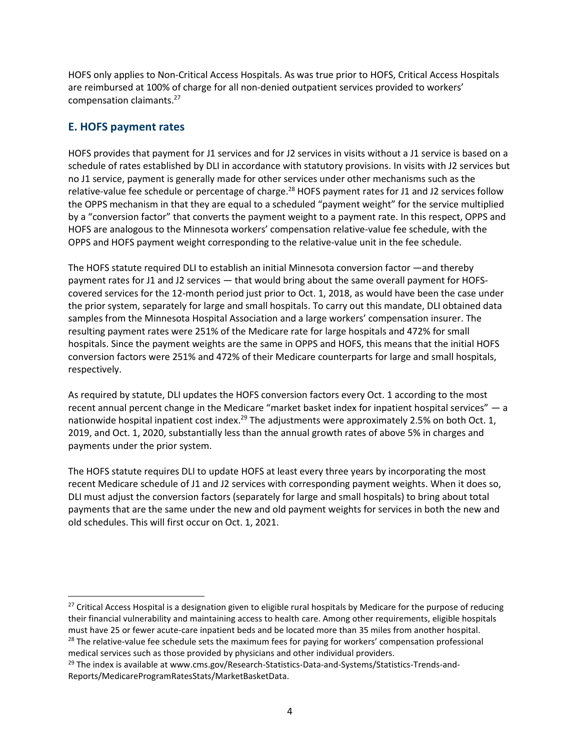<span id="page-11-0"></span>HOFS only applies to Non-Critical Access Hospitals. As was true prior to HOFS, Critical Access Hospitals are reimbursed at 100% of charge for all non-denied outpatient services provided to workers' compensation [claimants.27](https://claimants.27) 

#### **E. HOFS payment rates**

HOFS provides that payment for J1 services and for J2 services in visits without a J1 service is based on a schedule of rates established by DLI in accordance with statutory provisions. In visits with J2 services but no J1 service, payment is generally made for other services under other mechanisms such as the relative-value fee schedule or percentage of charge.<sup>28</sup> HOFS payment rates for J1 and J2 services follow the OPPS mechanism in that they are equal to a scheduled "payment weight" for the service multiplied by a "conversion factor" that converts the payment weight to a payment rate. In this respect, OPPS and HOFS are analogous to the Minnesota workers' compensation relative-value fee schedule, with the OPPS and HOFS payment weight corresponding to the relative-value unit in the fee schedule.

The HOFS statute required DLI to establish an initial Minnesota conversion factor —and thereby payment rates for J1 and J2 services — that would bring about the same overall payment for HOFScovered services for the 12-month period just prior to Oct. 1, 2018, as would have been the case under the prior system, separately for large and small hospitals. To carry out this mandate, DLI obtained data samples from the Minnesota Hospital Association and a large workers' compensation insurer. The resulting payment rates were 251% of the Medicare rate for large hospitals and 472% for small hospitals. Since the payment weights are the same in OPPS and HOFS, this means that the initial HOFS conversion factors were 251% and 472% of their Medicare counterparts for large and small hospitals, respectively.

As required by statute, DLI updates the HOFS conversion factors every Oct. 1 according to the most recent annual percent change in the Medicare "market basket index for inpatient hospital services" — a nationwide hospital inpatient cost index.<sup>29</sup> The adjustments were approximately 2.5% on both Oct. 1, 2019, and Oct. 1, 2020, substantially less than the annual growth rates of above 5% in charges and payments under the prior system.

The HOFS statute requires DLI to update HOFS at least every three years by incorporating the most recent Medicare schedule of J1 and J2 services with corresponding payment weights. When it does so, DLI must adjust the conversion factors (separately for large and small hospitals) to bring about total payments that are the same under the new and old payment weights for services in both the new and old schedules. This will first occur on Oct. 1, 2021.

 $27$  Critical Access Hospital is a designation given to eligible rural hospitals by Medicare for the purpose of reducing their financial vulnerability and maintaining access to health care. Among other requirements, eligible hospitals must have 25 or fewer acute-care inpatient beds and be located more than 35 miles from another hospital.<br><sup>28</sup> The relative-value fee schedule sets the maximum fees for paying for workers' compensation professional

medical services such as those provided by physicians and other individual providers.

<sup>&</sup>lt;sup>29</sup> The index is available at [www.cms.gov/Research-Statistics-Data-and-Systems/Statistics-Trends-and-](www.cms.gov/Research-Statistics-Data-and-Systems/Statistics-Trends-and)Reports/MedicareProgramRatesStats/MarketBasketData.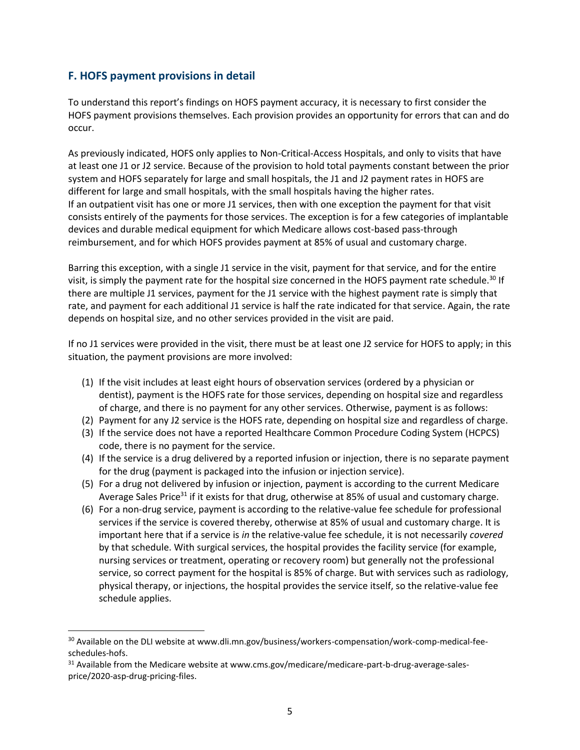#### <span id="page-12-0"></span>**F. HOFS payment provisions in detail**

To understand this report's findings on HOFS payment accuracy, it is necessary to first consider the HOFS payment provisions themselves. Each provision provides an opportunity for errors that can and do occur.

 at least one J1 or J2 service. Because of the provision to hold total payments constant between the prior As previously indicated, HOFS only applies to Non-Critical-Access Hospitals, and only to visits that have system and HOFS separately for large and small hospitals, the J1 and J2 payment rates in HOFS are different for large and small hospitals, with the small hospitals having the higher rates. If an outpatient visit has one or more J1 services, then with one exception the payment for that visit consists entirely of the payments for those services. The exception is for a few categories of implantable devices and durable medical equipment for which Medicare allows cost-based pass-through reimbursement, and for which HOFS provides payment at 85% of usual and customary charge.

Barring this exception, with a single J1 service in the visit, payment for that service, and for the entire visit, is simply the payment rate for the hospital size concerned in the HOFS payment rate schedule.<sup>30</sup> If there are multiple J1 services, payment for the J1 service with the highest payment rate is simply that rate, and payment for each additional J1 service is half the rate indicated for that service. Again, the rate depends on hospital size, and no other services provided in the visit are paid.

If no J1 services were provided in the visit, there must be at least one J2 service for HOFS to apply; in this situation, the payment provisions are more involved:

- (1) If the visit includes at least eight hours of observation services (ordered by a physician or dentist), payment is the HOFS rate for those services, depending on hospital size and regardless of charge, and there is no payment for any other services. Otherwise, payment is as follows:
- (2) Payment for any J2 service is the HOFS rate, depending on hospital size and regardless of charge.
- (3) If the service does not have a reported Healthcare Common Procedure Coding System (HCPCS) code, there is no payment for the service.
- (4) If the service is a drug delivered by a reported infusion or injection, there is no separate payment for the drug (payment is packaged into the infusion or injection service).
- (5) For a drug not delivered by infusion or injection, payment is according to the current Medicare Average Sales Price<sup>31</sup> if it exists for that drug, otherwise at 85% of usual and customary charge.
- (6) For a non-drug service, payment is according to the relative-value fee schedule for professional services if the service is covered thereby, otherwise at 85% of usual and customary charge. It is important here that if a service is *in* the relative-value fee schedule, it is not necessarily *covered*  by that schedule. With surgical services, the hospital provides the facility service (for example, nursing services or treatment, operating or recovery room) but generally not the professional service, so correct payment for the hospital is 85% of charge. But with services such as radiology, physical therapy, or injections, the hospital provides the service itself, so the relative-value fee schedule applies.

<sup>&</sup>lt;sup>30</sup> Available on the DLI website at<www.dli.mn.gov/business/workers-compensation/work-comp-medical-fee>schedules-hofs.<br><sup>31</sup> Available from the Medicare website at<www.cms.gov/medicare/medicare-part-b-drug-average-sales>-

price/2020-asp-drug-pricing-files.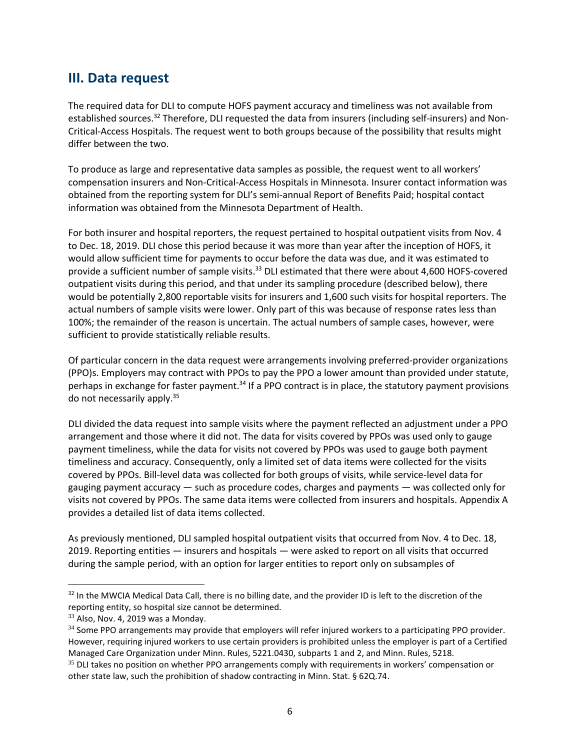## <span id="page-13-0"></span>**III. Data request**

The required data for DLI to compute HOFS payment accuracy and timeliness was not available from established sources.<sup>32</sup> Therefore, DLI requested the data from insurers (including self-insurers) and Non-Critical-Access Hospitals. The request went to both groups because of the possibility that results might differ between the two.

To produce as large and representative data samples as possible, the request went to all workers' compensation insurers and Non-Critical-Access Hospitals in Minnesota. Insurer contact information was obtained from the reporting system for DLI's semi-annual Report of Benefits Paid; hospital contact information was obtained from the Minnesota Department of Health.

For both insurer and hospital reporters, the request pertained to hospital outpatient visits from Nov. 4 to Dec. 18, 2019. DLI chose this period because it was more than year after the inception of HOFS, it would allow sufficient time for payments to occur before the data was due, and it was estimated to provide a sufficient number of sample [visits.](https://visits.33)<sup>33</sup> DLI estimated that there were about 4,600 HOFS-covered outpatient visits during this period, and that under its sampling procedure (described below), there would be potentially 2,800 reportable visits for insurers and 1,600 such visits for hospital reporters. The actual numbers of sample visits were lower. Only part of this was because of response rates less than 100%; the remainder of the reason is uncertain. The actual numbers of sample cases, however, were sufficient to provide statistically reliable results.

Of particular concern in the data request were arrangements involving preferred-provider organizations (PPO)s. Employers may contract with PPOs to pay the PPO a lower amount than provided under statute, perhaps in exchange for faster payment.<sup>34</sup> If a PPO contract is in place, the statutory payment provisions do not necessarily [apply.35](https://apply.35)

DLI divided the data request into sample visits where the payment reflected an adjustment under a PPO arrangement and those where it did not. The data for visits covered by PPOs was used only to gauge payment timeliness, while the data for visits not covered by PPOs was used to gauge both payment timeliness and accuracy. Consequently, only a limited set of data items were collected for the visits covered by PPOs. Bill-level data was collected for both groups of visits, while service-level data for gauging payment accuracy — such as procedure codes, charges and payments — was collected only for visits not covered by PPOs. The same data items were collected from insurers and hospitals. Appendix A provides a detailed list of data items collected.

As previously mentioned, DLI sampled hospital outpatient visits that occurred from Nov. 4 to Dec. 18, 2019. Reporting entities — insurers and hospitals — were asked to report on all visits that occurred during the sample period, with an option for larger entities to report only on subsamples of

<sup>&</sup>lt;sup>32</sup> In the MWCIA Medical Data Call, there is no billing date, and the provider ID is left to the discretion of the reporting entity, so hospital size cannot be determined.

 $33$  Also, Nov. 4, 2019 was a Monday.

<sup>&</sup>lt;sup>34</sup> Some PPO arrangements may provide that employers will refer injured workers to a participating PPO provider. However, requiring injured workers to use certain providers is prohibited unless the employer is part of a Certified Managed Care Organization under Minn. Rules, 5221.0430, subparts 1 and 2, and Minn. Rules, 5218.

<sup>&</sup>lt;sup>35</sup> DLI takes no position on whether PPO arrangements comply with requirements in workers' compensation or other state law, such the prohibition of shadow contracting in Minn. Stat. § 62Q.74.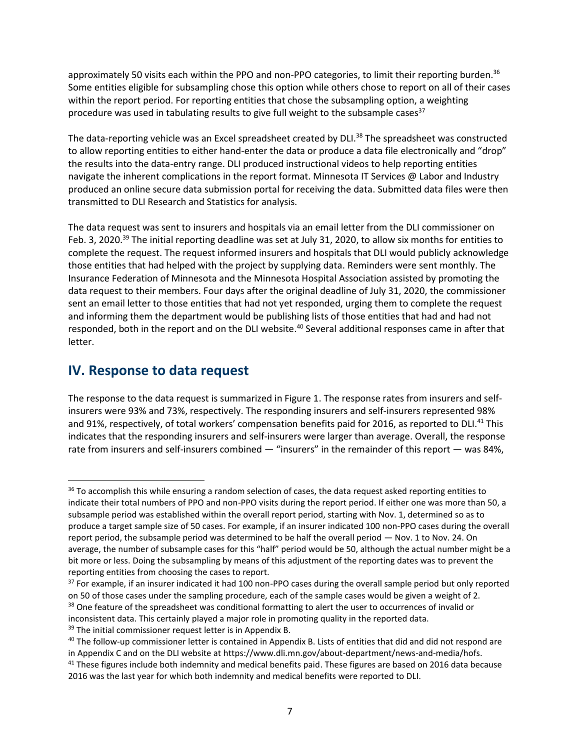<span id="page-14-0"></span>approximately 50 visits each within the PPO and non-PPO categories, to limit their reporting burden.<sup>36</sup> Some entities eligible for subsampling chose this option while others chose to report on all of their cases within the report period. For reporting entities that chose the subsampling option, a weighting procedure was used in tabulating results to give full weight to the subsample cases $37$ 

 to allow reporting entities to either hand-enter the data or produce a data file electronically and "drop" transmitted to DLI Research and Statistics for analysis. The data-reporting vehicle was an Excel spreadsheet created by DLI.<sup>38</sup> The spreadsheet was constructed the results into the data-entry range. DLI produced instructional videos to help reporting entities navigate the inherent complications in the report format. Minnesota IT Services @ Labor and Industry produced an online secure data submission portal for receiving the data. Submitted data files were then

The data request was sent to insurers and hospitals via an email letter from the DLI commissioner on Feb. 3, 2020.<sup>39</sup> The initial reporting deadline was set at July 31, 2020, to allow six months for entities to complete the request. The request informed insurers and hospitals that DLI would publicly acknowledge those entities that had helped with the project by supplying data. Reminders were sent monthly. The Insurance Federation of Minnesota and the Minnesota Hospital Association assisted by promoting the data request to their members. Four days after the original deadline of July 31, 2020, the commissioner sent an email letter to those entities that had not yet responded, urging them to complete the request and informing them the department would be publishing lists of those entities that had and had not responded, both in the report and on the DLI [website.](https://website.40)<sup>40</sup> Several additional responses came in after that letter.

## **IV. Response to data request**

The response to the data request is summarized in Figure 1. The response rates from insurers and selfinsurers were 93% and 73%, respectively. The responding insurers and self-insurers represented 98% and 91%, respectively, of total workers' compensation benefits paid for 2016, as reported to DLI.<sup>41</sup> This indicates that the responding insurers and self-insurers were larger than average. Overall, the response rate from insurers and self-insurers combined — "insurers" in the remainder of this report — was 84%,

<sup>&</sup>lt;sup>36</sup> To accomplish this while ensuring a random selection of cases, the data request asked reporting entities to indicate their total numbers of PPO and non-PPO visits during the report period. If either one was more than 50, a subsample period was established within the overall report period, starting with Nov. 1, determined so as to produce a target sample size of 50 cases. For example, if an insurer indicated 100 non-PPO cases during the overall report period, the subsample period was determined to be half the overall period — Nov. 1 to Nov. 24. On average, the number of subsample cases for this "half" period would be 50, although the actual number might be a bit more or less. Doing the subsampling by means of this adjustment of the reporting dates was to prevent the reporting entities from choosing the cases to report.

 $37$  For example, if an insurer indicated it had 100 non-PPO cases during the overall sample period but only reported on 50 of those cases under the sampling procedure, each of the sample cases would be given a weight of 2. <sup>38</sup> One feature of the spreadsheet was conditional formatting to alert the user to occurrences of invalid or inconsistent data. This certainly played a major role in promoting quality in the reported data.<br><sup>39</sup> The initial commissioner request letter is in Appendix B.

 $40$  The follow-up commissioner letter is contained in Appendix B. Lists of entities that did and did not respond are

in Appendix C and on the DLI website at [https://www.dli.mn.gov/about-department/news-and-media/hofs.](https://www.dli.mn.gov/about-department/news-and-media/hofs)<br><sup>41</sup> These figures include both indemnity and medical benefits paid. These figures are based on 2016 data because 2016 was the last year for which both indemnity and medical benefits were reported to DLI.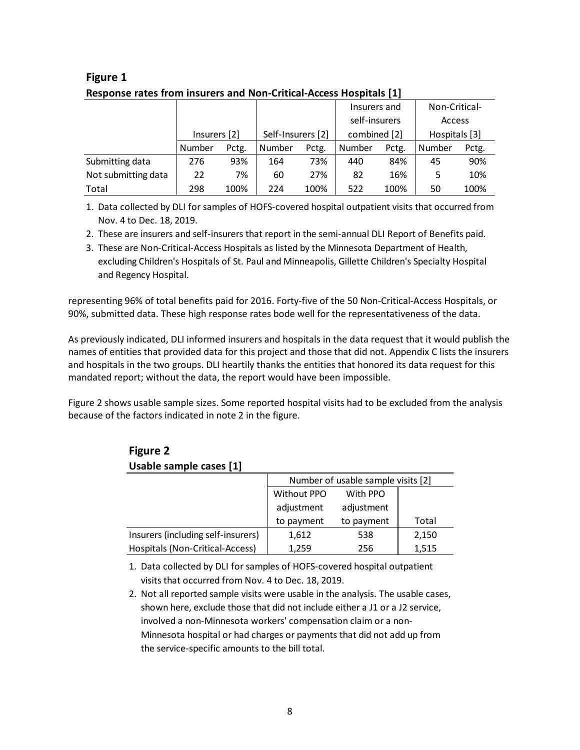|                     |              |       |                   |       | Insurers and  |       | Non-Critical- |       |
|---------------------|--------------|-------|-------------------|-------|---------------|-------|---------------|-------|
|                     |              |       |                   |       | self-insurers |       | Access        |       |
|                     | Insurers [2] |       | Self-Insurers [2] |       | combined [2]  |       | Hospitals [3] |       |
|                     | Number       | Pctg. | Number            | Pctg. | Number        | Pctg. | Number        | Pctg. |
| Submitting data     | 276          | 93%   | 164               | 73%   | 440           | 84%   | 45            | 90%   |
| Not submitting data | 22           | 7%    | 60                | 27%   | 82            | 16%   | 5             | 10%   |
| Total               | 298          | 100%  | 224               | 100%  | 522           | 100%  | 50            | 100%  |

#### **Figure 1 Response rates from insurers and Non-Critical-Access Hospitals [1]**

1. Data collected by DLI for samples of HOFS-covered hospital outpatient visits that occurred from Nov. 4 to Dec. 18, 2019.

- 2. These are insurers and self-insurers that report in the semi-annual DLI Report of Benefits paid.
- 3. These are Non-Critical-Access Hospitals as listed by the Minnesota Department of Health, excluding Children's Hospitals of St. Paul and Minneapolis, Gillette Children's Specialty Hospital and Regency Hospital.

representing 96% of total benefits paid for 2016. Forty-five of the 50 Non-Critical-Access Hospitals, or 90%, submitted data. These high response rates bode well for the representativeness of the data.

As previously indicated, DLI informed insurers and hospitals in the data request that it would publish the names of entities that provided data for this project and those that did not. Appendix C lists the insurers and hospitals in the two groups. DLI heartily thanks the entities that honored its data request for this mandated report; without the data, the report would have been impossible.

Figure 2 shows usable sample sizes. Some reported hospital visits had to be excluded from the analysis because of the factors indicated in note 2 in the figure.

| Usable sample cases [1]            |                                    |            |       |  |  |  |
|------------------------------------|------------------------------------|------------|-------|--|--|--|
|                                    | Number of usable sample visits [2] |            |       |  |  |  |
|                                    | Without PPO                        | With PPO   |       |  |  |  |
|                                    | adjustment                         | adjustment |       |  |  |  |
|                                    | to payment                         | to payment | Total |  |  |  |
| Insurers (including self-insurers) | 1,612                              | 538        | 2,150 |  |  |  |
| Hospitals (Non-Critical-Access)    | 1,259                              | 256        | 1,515 |  |  |  |
|                                    |                                    |            |       |  |  |  |

#### **Figure 2 Usable sample cases [1]**

1. Data collected by DLI for samples of HOFS-covered hospital outpatient visits that occurred from Nov. 4 to Dec. 18, 2019.

2. Not all reported sample visits were usable in the analysis. The usable cases, shown here, exclude those that did not include either a J1 or a J2 service, involved a non-Minnesota workers' compensation claim or a non-Minnesota hospital or had charges or payments that did not add up from the service-specific amounts to the bill total.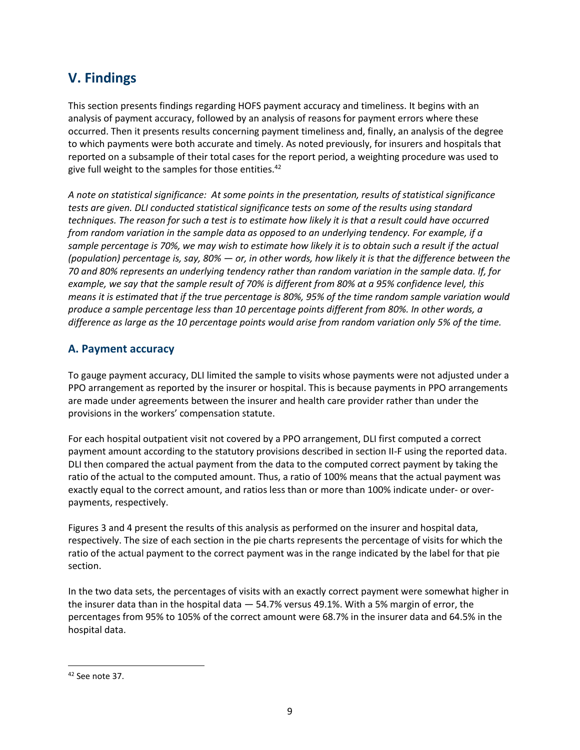# <span id="page-16-0"></span>**V. Findings**

This section presents findings regarding HOFS payment accuracy and timeliness. It begins with an analysis of payment accuracy, followed by an analysis of reasons for payment errors where these occurred. Then it presents results concerning payment timeliness and, finally, an analysis of the degree to which payments were both accurate and timely. As noted previously, for insurers and hospitals that reported on a subsample of their total cases for the report period, a weighting procedure was used to give full weight to the samples for those entities.<sup>42</sup>

 *produce a sample percentage less than 10 percentage points different from 80%. In other words, a difference as large as the 10 percentage points would arise from random variation only 5% of the time. A note on statistical significance: At some points in the presentation, results of statistical significance tests are given. DLI conducted statistical significance tests on some of the results using standard techniques. The reason for such a test is to estimate how likely it is that a result could have occurred from random variation in the sample data as opposed to an underlying tendency. For example, if a sample percentage is 70%, we may wish to estimate how likely it is to obtain such a result if the actual (population) percentage is, say, 80% — or, in other words, how likely it is that the difference between the 70 and 80% represents an underlying tendency rather than random variation in the sample data. If, for example, we say that the sample result of 70% is different from 80% at a 95% confidence level, this means it is estimated that if the true percentage is 80%, 95% of the time random sample variation would* 

#### **A. Payment accuracy**

To gauge payment accuracy, DLI limited the sample to visits whose payments were not adjusted under a PPO arrangement as reported by the insurer or hospital. This is because payments in PPO arrangements are made under agreements between the insurer and health care provider rather than under the provisions in the workers' compensation statute.

For each hospital outpatient visit not covered by a PPO arrangement, DLI first computed a correct payment amount according to the statutory provisions described in section II-F using the reported data. DLI then compared the actual payment from the data to the computed correct payment by taking the ratio of the actual to the computed amount. Thus, a ratio of 100% means that the actual payment was exactly equal to the correct amount, and ratios less than or more than 100% indicate under- or overpayments, respectively.

Figures 3 and 4 present the results of this analysis as performed on the insurer and hospital data, respectively. The size of each section in the pie charts represents the percentage of visits for which the ratio of the actual payment to the correct payment was in the range indicated by the label for that pie section.

In the two data sets, the percentages of visits with an exactly correct payment were somewhat higher in the insurer data than in the hospital data — 54.7% versus 49.1%. With a 5% margin of error, the percentages from 95% to 105% of the correct amount were 68.7% in the insurer data and 64.5% in the hospital data.

<sup>42</sup> See note 37.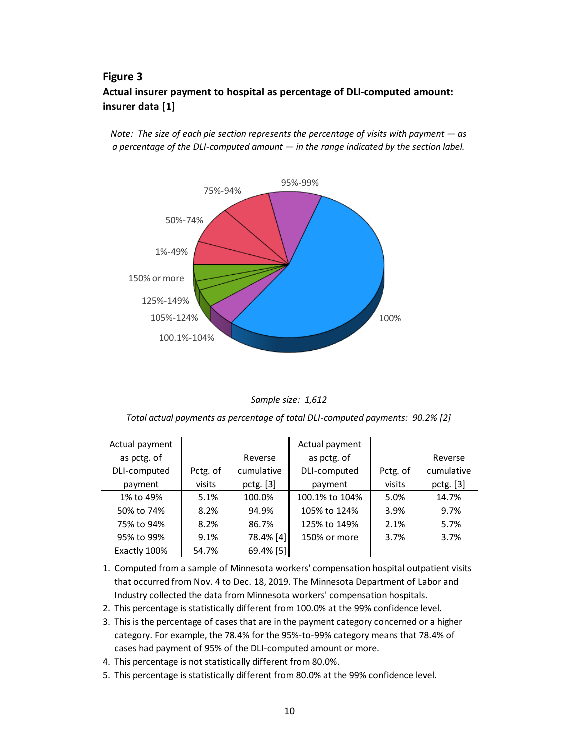### **Figure 3 Actual insurer payment to hospital as percentage of DLI-computed amount: insurer data [1]**

*Note: The size of each pie section represents the percentage of visits with payment — as a percentage of the DLI-computed amount — in the range indicated by the section label.*





*Total actual payments as percentage of total DLI-computed payments: 90.2% [2]*

| Actual payment |          |             | Actual payment |          |             |
|----------------|----------|-------------|----------------|----------|-------------|
| as pctg. of    |          | Reverse     | as pctg. of    |          | Reverse     |
| DLI-computed   | Pctg. of | cumulative  | DLI-computed   | Pctg. of | cumulative  |
| payment        | visits   | pctg. $[3]$ | payment        | visits   | pctg. $[3]$ |
| 1% to 49%      | 5.1%     | 100.0%      | 100.1% to 104% | 5.0%     | 14.7%       |
| 50% to 74%     | 8.2%     | 94.9%       | 105% to 124%   | 3.9%     | 9.7%        |
| 75% to 94%     | 8.2%     | 86.7%       | 125% to 149%   | 2.1%     | 5.7%        |
| 95% to 99%     | 9.1%     | 78.4% [4]   | 150% or more   | 3.7%     | 3.7%        |
| Exactly 100%   | 54.7%    | 69.4% [5]   |                |          |             |

1. Computed from a sample of Minnesota workers' compensation hospital outpatient visits that occurred from Nov. 4 to Dec. 18, 2019. The Minnesota Department of Labor and Industry collected the data from Minnesota workers' compensation hospitals.

- 2. This percentage is statistically different from 100.0% at the 99% confidence level.
- 3. This is the percentage of cases that are in the payment category concerned or a higher category. For example, the 78.4% for the 95%-to-99% category means that 78.4% of cases had payment of 95% of the DLI-computed amount or more.
- 4. This percentage is not statistically different from 80.0%.
- 5. This percentage is statistically different from 80.0% at the 99% confidence level.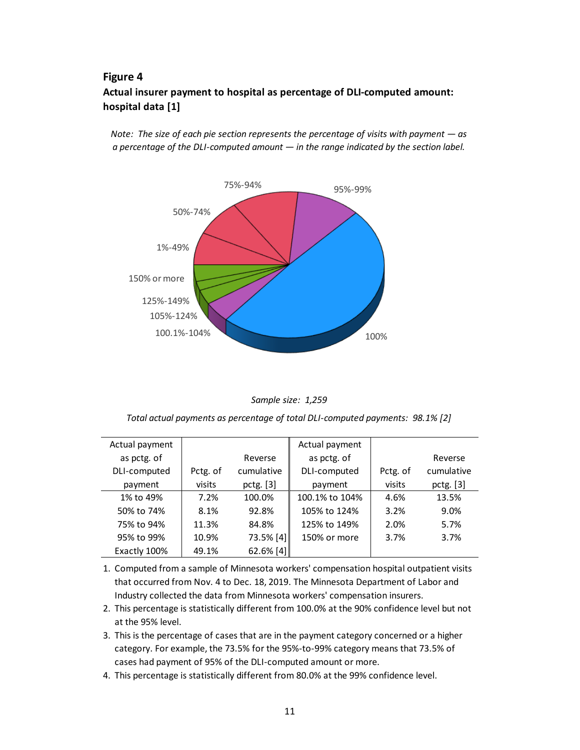### **Figure 4 Actual insurer payment to hospital as percentage of DLI-computed amount: hospital data [1]**

*Note: The size of each pie section represents the percentage of visits with payment — as a percentage of the DLI-computed amount — in the range indicated by the section label.*





*Total actual payments as percentage of total DLI-computed payments: 98.1% [2]*

| Actual payment |          |             | Actual payment |          |             |
|----------------|----------|-------------|----------------|----------|-------------|
| as pctg. of    |          | Reverse     | as pctg. of    |          | Reverse     |
| DLI-computed   | Pctg. of | cumulative  | DLI-computed   | Pctg. of | cumulative  |
| payment        | visits   | pctg. [3]   | payment        | visits   | pctg. $[3]$ |
| 1% to 49%      | 7.2%     | 100.0%      | 100.1% to 104% | 4.6%     | 13.5%       |
| 50% to 74%     | 8.1%     | 92.8%       | 105% to 124%   | 3.2%     | 9.0%        |
| 75% to 94%     | 11.3%    | 84.8%       | 125% to 149%   | 2.0%     | 5.7%        |
| 95% to 99%     | 10.9%    | 73.5% [4]   | 150% or more   | 3.7%     | 3.7%        |
| Exactly 100%   | 49.1%    | 62.6% $[4]$ |                |          |             |

1. Computed from a sample of Minnesota workers' compensation hospital outpatient visits that occurred from Nov. 4 to Dec. 18, 2019. The Minnesota Department of Labor and Industry collected the data from Minnesota workers' compensation insurers.

- 2. This percentage is statistically different from 100.0% at the 90% confidence level but not at the 95% level.
- 3. This is the percentage of cases that are in the payment category concerned or a higher category. For example, the 73.5% for the 95%-to-99% category means that 73.5% of cases had payment of 95% of the DLI-computed amount or more.
- 4. This percentage is statistically different from 80.0% at the 99% confidence level.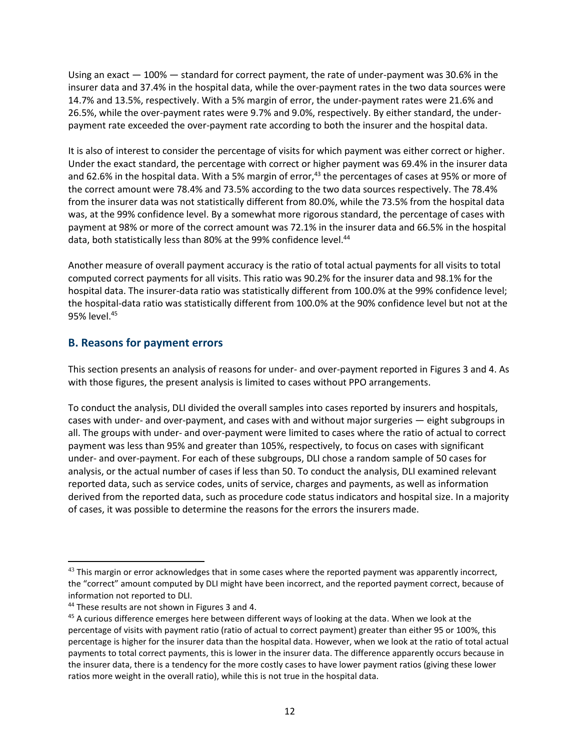<span id="page-19-0"></span>Using an exact — 100% — standard for correct payment, the rate of under-payment was 30.6% in the insurer data and 37.4% in the hospital data, while the over-payment rates in the two data sources were 14.7% and 13.5%, respectively. With a 5% margin of error, the under-payment rates were 21.6% and 26.5%, while the over-payment rates were 9.7% and 9.0%, respectively. By either standard, the underpayment rate exceeded the over-payment rate according to both the insurer and the hospital data.

 the correct amount were 78.4% and 73.5% according to the two data sources respectively. The 78.4% It is also of interest to consider the percentage of visits for which payment was either correct or higher. Under the exact standard, the percentage with correct or higher payment was 69.4% in the insurer data and 62.6% in the hospital data. With a 5% margin of error,<sup>43</sup> the percentages of cases at 95% or more of from the insurer data was not statistically different from 80.0%, while the 73.5% from the hospital data was, at the 99% confidence level. By a somewhat more rigorous standard, the percentage of cases with payment at 98% or more of the correct amount was 72.1% in the insurer data and 66.5% in the hospital data, both statistically less than 80% at the 99% confidence level.<sup>44</sup>

Another measure of overall payment accuracy is the ratio of total actual payments for all visits to total computed correct payments for all visits. This ratio was 90.2% for the insurer data and 98.1% for the hospital data. The insurer-data ratio was statistically different from 100.0% at the 99% confidence level; the hospital-data ratio was statistically different from 100.0% at the 90% confidence level but not at the 95% [level.45](https://level.45)

#### **B. Reasons for payment errors**

This section presents an analysis of reasons for under- and over-payment reported in Figures 3 and 4. As with those figures, the present analysis is limited to cases without PPO arrangements.

To conduct the analysis, DLI divided the overall samples into cases reported by insurers and hospitals, cases with under- and over-payment, and cases with and without major surgeries — eight subgroups in all. The groups with under- and over-payment were limited to cases where the ratio of actual to correct payment was less than 95% and greater than 105%, respectively, to focus on cases with significant under- and over-payment. For each of these subgroups, DLI chose a random sample of 50 cases for analysis, or the actual number of cases if less than 50. To conduct the analysis, DLI examined relevant reported data, such as service codes, units of service, charges and payments, as well as information derived from the reported data, such as procedure code status indicators and hospital size. In a majority of cases, it was possible to determine the reasons for the errors the insurers made.

 $43$  This margin or error acknowledges that in some cases where the reported payment was apparently incorrect, the "correct" amount computed by DLI might have been incorrect, and the reported payment correct, because of information not reported to DLI.

<sup>&</sup>lt;sup>44</sup> These results are not shown in Figures 3 and 4.<br><sup>45</sup> A curious difference emerges here between different ways of looking at the data. When we look at the percentage of visits with payment ratio (ratio of actual to correct payment) greater than either 95 or 100%, this percentage is higher for the insurer data than the hospital data. However, when we look at the ratio of total actual payments to total correct payments, this is lower in the insurer data. The difference apparently occurs because in the insurer data, there is a tendency for the more costly cases to have lower payment ratios (giving these lower ratios more weight in the overall ratio), while this is not true in the hospital data.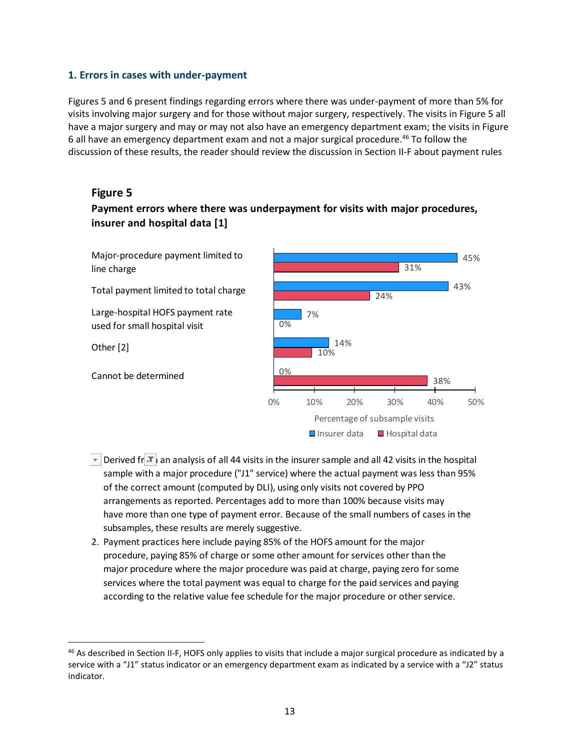#### <span id="page-20-0"></span> **1. Errors in cases with under-payment**

Figures 5 and 6 present findings regarding errors where there was under-payment of more than 5% for visits involving major surgery and for those without major surgery, respectively. The visits in Figure 5 all have a major surgery and may or may not also have an emergency department exam; the visits in Figure 6 all have an emergency department exam and not a major surgical [procedure.46](https://procedure.46) To follow the discussion of these results, the reader should review the discussion in Section II-F about payment rules

#### **Figure 5**

### **Payment errors where there was underpayment for visits with major procedures, insurer and hospital data [1]**

Major-procedure payment limited to line charge

Total payment limited to total charge

Large-hospital HOFS payment rate used for small hospital visit

Other [2]

Cannot be determined



- $\overline{1}$ . Derived from an analysis of all 44 visits in the insurer sample and all 42 visits in the hospital sample with a major procedure ("J1" service) where the actual payment was less than 95% of the correct amount (computed by DLI), using only visits not covered by PPO arrangements as reported. Percentages add to more than 100% because visits may have more than one type of payment error. Because of the small numbers of cases in the subsamples, these results are merely suggestive.
- 2. Payment practices here include paying 85% of the HOFS amount for the major procedure, paying 85% of charge or some other amount for services other than the major procedure where the major procedure was paid at charge, paying zero for some services where the total payment was equal to charge for the paid services and paying according to the relative value fee schedule for the major procedure or other service.

<sup>&</sup>lt;sup>46</sup> As described in Section II-F, HOFS only applies to visits that include a major surgical procedure as indicated by a service with a "J1" status indicator or an emergency department exam as indicated by a service with a "J2" status indicator.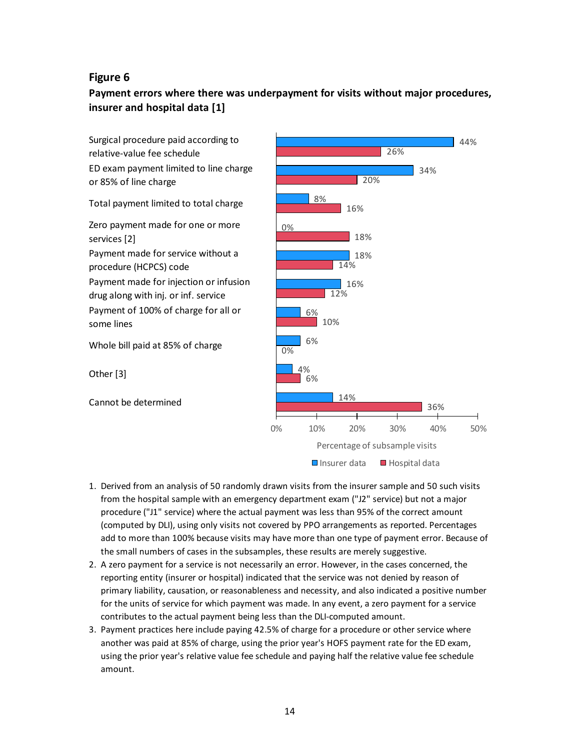#### **Figure 6**

### **Payment errors where there was underpayment for visits without major procedures, insurer and hospital data [1]**



- procedure ("J1" service) where the actual payment was less than 95% of the correct amount (computed by DLI), using only visits not covered by PPO arrangements as reported. Percentages add to more than 100% because visits may have more than one type of payment error. Because of the small numbers of cases in the subsamples, these results are merely suggestive. 2. (computed by DLI), using only visits not covered by PPO arrangements as reported. Percentage add to more than 100% because visits may have more than one type of payment error. Becausthe small numbers of cases in the sub
- reporting entity (insurer or hospital) indicated that the service was not denied by reason of primary liability, causation, or reasonableness and necessity, and also indicated a positive number for the units of service for which payment was made. In any event, a zero payment for a service contributes to the actual payment being less than the DLI-computed amount.
- 3 . Payment practices here include paying 42.5% of charge for a procedure or other service where another was paid at 85% of charge, using the prior year's HOFS payment rate for the ED exam, using the prior year's relative value fee schedule and paying half the relative value fee schedule amount.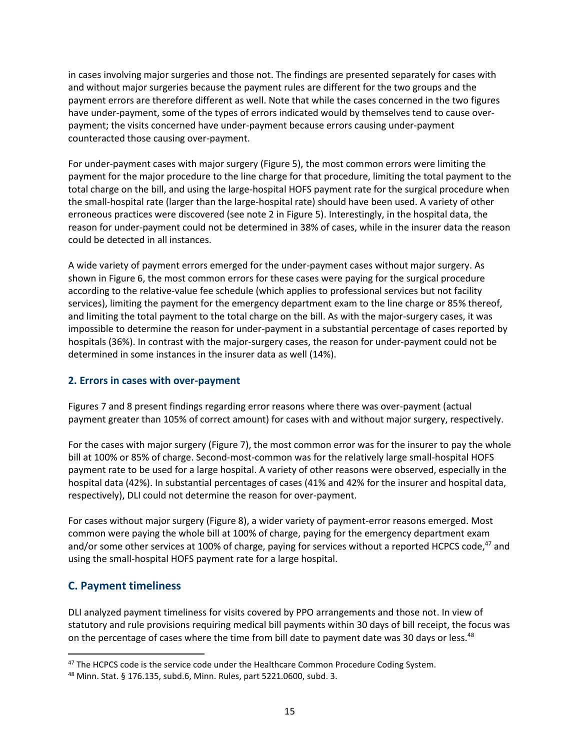<span id="page-22-0"></span>in cases involving major surgeries and those not. The findings are presented separately for cases with and without major surgeries because the payment rules are different for the two groups and the payment errors are therefore different as well. Note that while the cases concerned in the two figures have under-payment, some of the types of errors indicated would by themselves tend to cause overpayment; the visits concerned have under-payment because errors causing under-payment counteracted those causing over-payment.

For under-payment cases with major surgery (Figure 5), the most common errors were limiting the payment for the major procedure to the line charge for that procedure, limiting the total payment to the total charge on the bill, and using the large-hospital HOFS payment rate for the surgical procedure when the small-hospital rate (larger than the large-hospital rate) should have been used. A variety of other erroneous practices were discovered (see note 2 in Figure 5). Interestingly, in the hospital data, the reason for under-payment could not be determined in 38% of cases, while in the insurer data the reason could be detected in all instances.

A wide variety of payment errors emerged for the under-payment cases without major surgery. As shown in Figure 6, the most common errors for these cases were paying for the surgical procedure according to the relative-value fee schedule (which applies to professional services but not facility services), limiting the payment for the emergency department exam to the line charge or 85% thereof, and limiting the total payment to the total charge on the bill. As with the major-surgery cases, it was impossible to determine the reason for under-payment in a substantial percentage of cases reported by hospitals (36%). In contrast with the major-surgery cases, the reason for under-payment could not be determined in some instances in the insurer data as well (14%).

#### **2. Errors in cases with over-payment**

Figures 7 and 8 present findings regarding error reasons where there was over-payment (actual payment greater than 105% of correct amount) for cases with and without major surgery, respectively.

For the cases with major surgery (Figure 7), the most common error was for the insurer to pay the whole bill at 100% or 85% of charge. Second-most-common was for the relatively large small-hospital HOFS payment rate to be used for a large hospital. A variety of other reasons were observed, especially in the hospital data (42%). In substantial percentages of cases (41% and 42% for the insurer and hospital data, respectively), DLI could not determine the reason for over-payment.

For cases without major surgery (Figure 8), a wider variety of payment-error reasons emerged. Most common were paying the whole bill at 100% of charge, paying for the emergency department exam and/or some other services at 100% of charge, paying for services without a reported HCPCS code,<sup>47</sup> and using the small-hospital HOFS payment rate for a large hospital.

#### **C. Payment timeliness**

on the percentage of cases where the time from bill date to payment date was 30 days or less.<sup>48</sup> DLI analyzed payment timeliness for visits covered by PPO arrangements and those not. In view of statutory and rule provisions requiring medical bill payments within 30 days of bill receipt, the focus was

 $47$  The HCPCS code is the service code under the Healthcare Common Procedure Coding System.

<sup>48</sup> Minn. Stat. § 176.135, subd.6, Minn. Rules, part 5221.0600, subd. 3.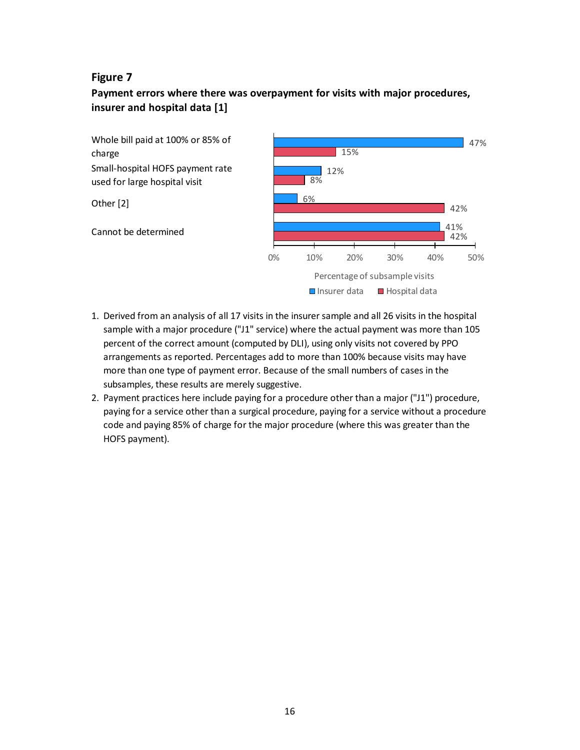#### **Figure 7**

### **Payment errors where there was overpayment for visits with major procedures, insurer and hospital data [1]**



- 1. Derived from an analysis of all 17 visits in the insurer sample and all 26 visits in the hospital sample with a major procedure ("J1" service) where the actual payment was more than 105 percent of the correct amount (computed by DLI), using only visits not covered by PPO arrangements as reported. Percentages add to more than 100% because visits may have more than one type of payment error. Because of the small numbers of cases in the subsamples, these results are merely suggestive.
- 2. Payment practices here include paying for a procedure other than a major ("J1") procedure, paying for a service other than a surgical procedure, paying for a service without a procedure code and paying 85% of charge for the major procedure (where this was greater than the HOFS payment).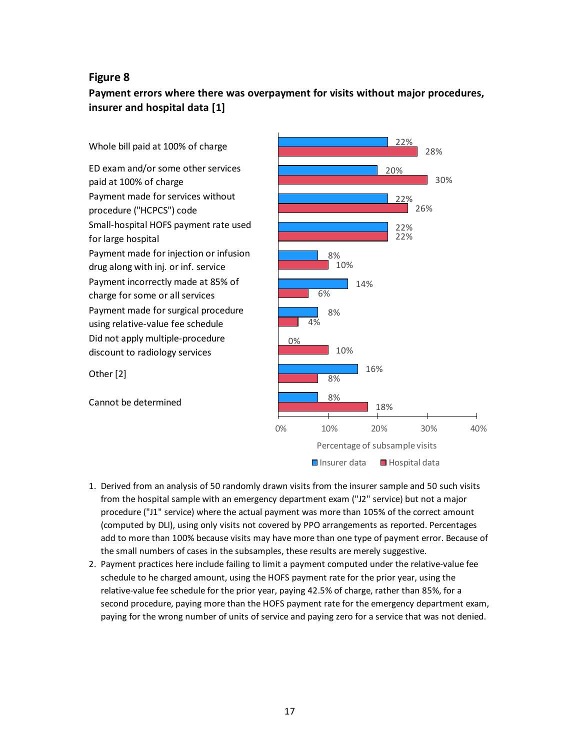#### **Figure 8**

### **Payment errors where there was overpayment for visits without major procedures, insurer and hospital data [1]**



- procedure ("J1" service) where the actual payment was more than 105% of the correct amount (computed by DLI), using only visits not covered by PPO arrangements as reported. Percentages add to more than 100% because visits may have more than one type of payment error. Because of the small numbers of cases in the subsamples, these results are merely suggestive. 2. Payment practices here include failing to limit a payment computed under the relative-value fee schedule to he charged amount, using the HOFS payment rate for the prior year, using the
- relative-value fee schedule for the prior year, paying 42.5% of charge, rather than 85%, for a second procedure, paying more than the HOFS payment rate for the emergency department exam, paying for the wrong number of units of service and paying zero for a service that was not denied.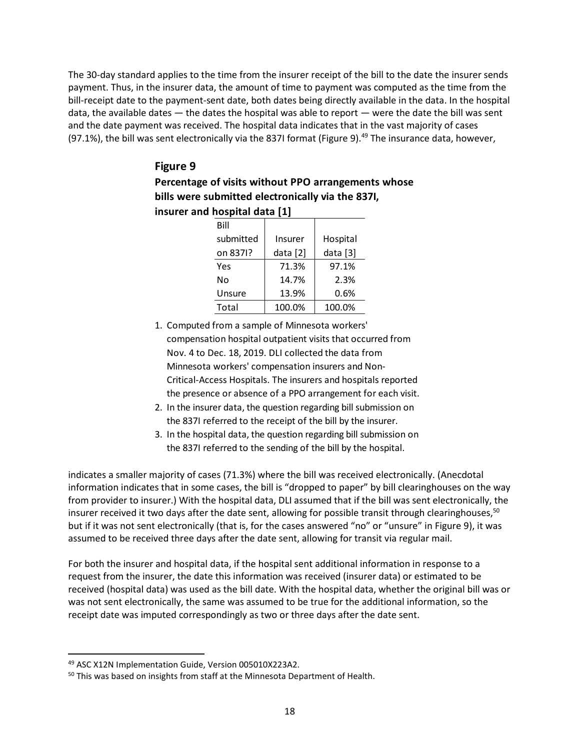and the date payment was received. The hospital data indicates that in the vast majority of cases The 30-day standard applies to the time from the insurer receipt of the bill to the date the insurer sends payment. Thus, in the insurer data, the amount of time to payment was computed as the time from the bill-receipt date to the payment-sent date, both dates being directly available in the data. In the hospital data, the available dates — the dates the hospital was able to report — were the date the bill was sent (97.1%), the bill was sent electronically via the 837I format (Figure 9).<sup>49</sup> The insurance data, however,

### **Figure 9 Percentage of visits without PPO arrangements whose bills were submitted electronically via the 837I, insurer and hospital data [1]**

| HUSPILAI UALA   1 |          |            |  |  |  |  |  |
|-------------------|----------|------------|--|--|--|--|--|
| Bill              |          |            |  |  |  |  |  |
| submitted         | Insurer  | Hospital   |  |  |  |  |  |
| on 8371?          | data [2] | data $[3]$ |  |  |  |  |  |
| Yes               | 71.3%    | 97.1%      |  |  |  |  |  |
| N٥                | 14.7%    | 2.3%       |  |  |  |  |  |
| Unsure            | 13.9%    | 0.6%       |  |  |  |  |  |
| Total             | 100.0%   | 100.0%     |  |  |  |  |  |
|                   |          |            |  |  |  |  |  |

- 1. Computed from a sample of Minnesota workers' compensation hospital outpatient visits that occurred from Nov. 4 to Dec. 18, 2019. DLI collected the data from Minnesota workers' compensation insurers and Non-Critical-Access Hospitals. The insurers and hospitals reported the presence or absence of a PPO arrangement for each visit.
- 2. In the insurer data, the question regarding bill submission on the 837I referred to the receipt of the bill by the insurer.
- 3. In the hospital data, the question regarding bill submission on the 837I referred to the sending of the bill by the hospital.

indicates a smaller majority of cases (71.3%) where the bill was received electronically. (Anecdotal information indicates that in some cases, the bill is "dropped to paper" by bill clearinghouses on the way from provider to insurer.) With the hospital data, DLI assumed that if the bill was sent electronically, the insurer received it two days after the date sent, allowing for possible transit through clearinghouses,  $50$ but if it was not sent electronically (that is, for the cases answered "no" or "unsure" in Figure 9), it was assumed to be received three days after the date sent, allowing for transit via regular mail.

For both the insurer and hospital data, if the hospital sent additional information in response to a request from the insurer, the date this information was received (insurer data) or estimated to be received (hospital data) was used as the bill date. With the hospital data, whether the original bill was or was not sent electronically, the same was assumed to be true for the additional information, so the receipt date was imputed correspondingly as two or three days after the date sent.

<sup>49</sup> ASC X12N Implementation Guide, Version 005010X223A2.

<sup>&</sup>lt;sup>50</sup> This was based on insights from staff at the Minnesota Department of Health.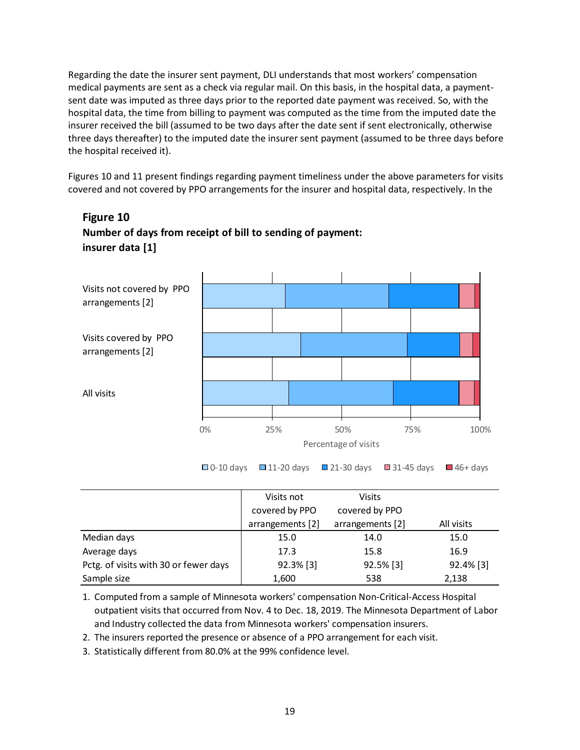medical payments are sent as a check via regular mail. On this basis, in the hospital data, a payment-Regarding the date the insurer sent payment, DLI understands that most workers' compensation sent date was imputed as three days prior to the reported date payment was received. So, with the hospital data, the time from billing to payment was computed as the time from the imputed date the insurer received the bill (assumed to be two days after the date sent if sent electronically, otherwise three days thereafter) to the imputed date the insurer sent payment (assumed to be three days before the hospital received it).

Figures 10 and 11 present findings regarding payment timeliness under the above parameters for visits covered and not covered by PPO arrangements for the insurer and hospital data, respectively. In the



### **Figure 10 Number of days from receipt of bill to sending of payment: insurer data [1]**

**□ 0-10 days □ 11-20 days ■ 21-30 days ■ 31-45 days ■ 46+ days** 

|                                       | Visits not       | <b>Visits</b>    |            |
|---------------------------------------|------------------|------------------|------------|
|                                       | covered by PPO   | covered by PPO   |            |
|                                       | arrangements [2] | arrangements [2] | All visits |
| Median days                           | 15.0             | 14.0             | 15.0       |
| Average days                          | 17.3             | 15.8             | 16.9       |
| Pctg. of visits with 30 or fewer days | 92.3% [3]        | 92.5% [3]        | 92.4% [3]  |
| Sample size                           | 1,600            | 538              | 2,138      |

1. Computed from a sample of Minnesota workers' compensation Non-Critical-Access Hospital outpatient visits that occurred from Nov. 4 to Dec. 18, 2019. The Minnesota Department of Labor and Industry collected the data from Minnesota workers' compensation insurers.

2. The insurers reported the presence or absence of a PPO arrangement for each visit.

3. Statistically different from 80.0% at the 99% confidence level.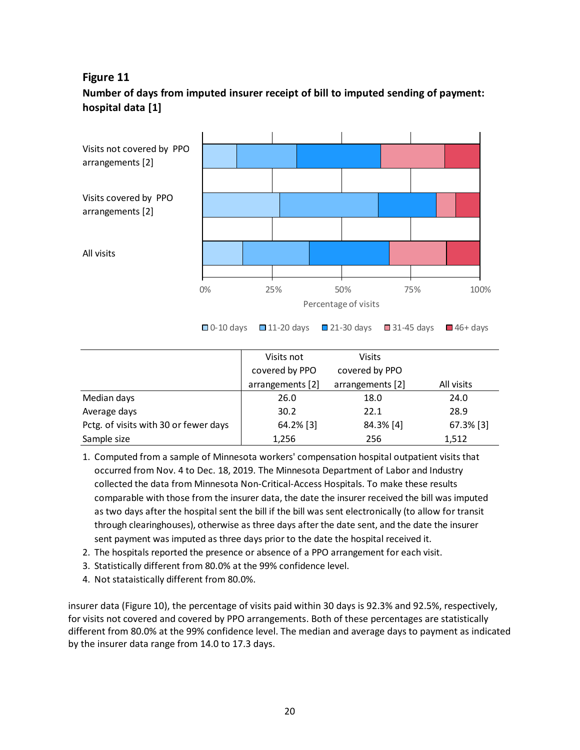#### **Figure 11**





|                                       |                  | $\Box$ U-IU Gays $\Box$ III-ZU Gays $\Box$ ZI-3U Gays $\Box$ 31-45 Gays $\Box$ 46+ Gays |              |
|---------------------------------------|------------------|-----------------------------------------------------------------------------------------|--------------|
|                                       |                  |                                                                                         |              |
|                                       | Visits not       | Visits                                                                                  |              |
|                                       | covered by PPO   | covered by PPO                                                                          |              |
|                                       | arrangements [2] | arrangements [2]                                                                        | All visits   |
| Median days                           | 26.0             | 18.0                                                                                    | 24.0         |
| Average days                          | 30.2             | 22.1                                                                                    | 28.9         |
| Pctg. of visits with 30 or fewer days | 64.2% [3]        | 84.3% [4]                                                                               | $67.3\%$ [3] |
| Sample size                           | 1,256            | 256                                                                                     | 1,512        |

- 1. Computed from a sample of Minnesota workers' compensation hospital outpatient visits that occurred from Nov. 4 to Dec. 18, 2019. The Minnesota Department of Labor and Industry collected the data from Minnesota Non-Critical-Access Hospitals. To make these results comparable with those from the insurer data, the date the insurer received the bill was imputed as two days after the hospital sent the bill if the bill was sent electronically (to allow for transit through clearinghouses), otherwise as three days after the date sent, and the date the insurer sent payment was imputed as three days prior to the date the hospital received it.
- 2. The hospitals reported the presence or absence of a PPO arrangement for each visit.
- 3. Statistically different from 80.0% at the 99% confidence level.
- 4. Not stataistically different from 80.0%.

insurer data (Figure 10), the percentage of visits paid within 30 days is 92.3% and 92.5%, respectively, for visits not covered and covered by PPO arrangements. Both of these percentages are statistically different from 80.0% at the 99% confidence level. The median and average days to payment as indicated by the insurer data range from 14.0 to 17.3 days.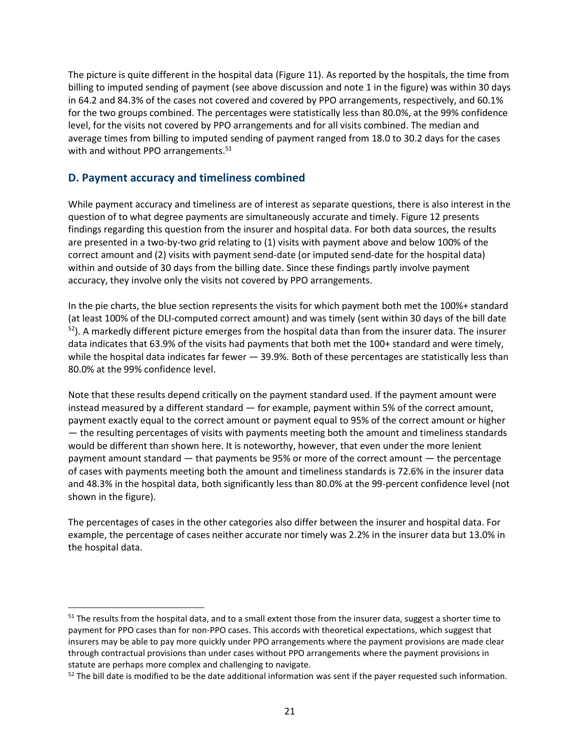<span id="page-28-0"></span>The picture is quite different in the hospital data (Figure 11). As reported by the hospitals, the time from billing to imputed sending of payment (see above discussion and note 1 in the figure) was within 30 days in 64.2 and 84.3% of the cases not covered and covered by PPO arrangements, respectively, and 60.1% for the two groups combined. The percentages were statistically less than 80.0%, at the 99% confidence level, for the visits not covered by PPO arrangements and for all visits combined. The median and average times from billing to imputed sending of payment ranged from 18.0 to 30.2 days for the cases with and without PPO arrangements.<sup>51</sup>

#### **D. Payment accuracy and timeliness combined**

 question of to what degree payments are simultaneously accurate and timely. Figure 12 presents correct amount and (2) visits with payment send-date (or imputed send-date for the hospital data) While payment accuracy and timeliness are of interest as separate questions, there is also interest in the findings regarding this question from the insurer and hospital data. For both data sources, the results are presented in a two-by-two grid relating to (1) visits with payment above and below 100% of the within and outside of 30 days from the billing date. Since these findings partly involve payment accuracy, they involve only the visits not covered by PPO arrangements.

 In the pie charts, the blue section represents the visits for which payment both met the 100%+ standard  $52$ ). A markedly different picture emerges from the hospital data than from the insurer data. The insurer (at least 100% of the DLI-computed correct amount) and was timely (sent within 30 days of the bill date data indicates that 63.9% of the visits had payments that both met the 100+ standard and were timely, while the hospital data indicates far fewer - 39.9%. Both of these percentages are statistically less than 80.0% at the 99% confidence level.

Note that these results depend critically on the payment standard used. If the payment amount were instead measured by a different standard — for example, payment within 5% of the correct amount, payment exactly equal to the correct amount or payment equal to 95% of the correct amount or higher — the resulting percentages of visits with payments meeting both the amount and timeliness standards would be different than shown here. It is noteworthy, however, that even under the more lenient payment amount standard — that payments be 95% or more of the correct amount — the percentage of cases with payments meeting both the amount and timeliness standards is 72.6% in the insurer data and 48.3% in the hospital data, both significantly less than 80.0% at the 99-percent confidence level (not shown in the figure).

The percentages of cases in the other categories also differ between the insurer and hospital data. For example, the percentage of cases neither accurate nor timely was 2.2% in the insurer data but 13.0% in the hospital data.

 $51$  The results from the hospital data, and to a small extent those from the insurer data, suggest a shorter time to payment for PPO cases than for non-PPO cases. This accords with theoretical expectations, which suggest that insurers may be able to pay more quickly under PPO arrangements where the payment provisions are made clear through contractual provisions than under cases without PPO arrangements where the payment provisions in statute are perhaps more complex and challenging to navigate.

 $52$  The bill date is modified to be the date additional information was sent if the payer requested such information.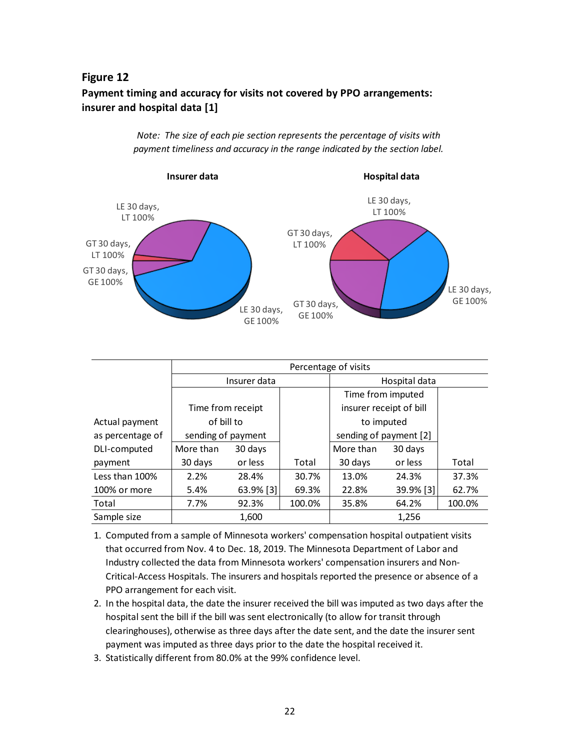#### **Figure 12**

### **Payment timing and accuracy for visits not covered by PPO arrangements: insurer and hospital data [1]**

*Note: The size of each pie section represents the percentage of visits with payment timeliness and accuracy in the range indicated by the section label.*



|                  | Percentage of visits |           |        |                         |              |        |
|------------------|----------------------|-----------|--------|-------------------------|--------------|--------|
|                  | Insurer data         |           |        | Hospital data           |              |        |
|                  |                      |           |        | Time from imputed       |              |        |
|                  | Time from receipt    |           |        | insurer receipt of bill |              |        |
| Actual payment   | of bill to           |           |        | to imputed              |              |        |
| as percentage of | sending of payment   |           |        | sending of payment [2]  |              |        |
| DLI-computed     | More than            | 30 days   |        | More than               | 30 days      |        |
| payment          | 30 days              | or less   | Total  | 30 days                 | or less      | Total  |
| Less than 100%   | 2.2%                 | 28.4%     | 30.7%  | 13.0%                   | 24.3%        | 37.3%  |
| 100% or more     | 5.4%                 | 63.9% [3] | 69.3%  | 22.8%                   | $39.9\%$ [3] | 62.7%  |
| Total            | 7.7%                 | 92.3%     | 100.0% | 35.8%                   | 64.2%        | 100.0% |
| Sample size      |                      | 1,600     |        |                         | 1,256        |        |

- 1. Computed from a sample of Minnesota workers' compensation hospital outpatient visits that occurred from Nov. 4 to Dec. 18, 2019. The Minnesota Department of Labor and Industry collected the data from Minnesota workers' compensation insurers and Non-Critical-Access Hospitals. The insurers and hospitals reported the presence or absence of a PPO arrangement for each visit.
- 2. In the hospital data, the date the insurer received the bill was imputed as two days after the hospital sent the bill if the bill was sent electronically (to allow for transit through clearinghouses), otherwise as three days after the date sent, and the date the insurer sent payment was imputed as three days prior to the date the hospital received it.
- 3. Statistically different from 80.0% at the 99% confidence level.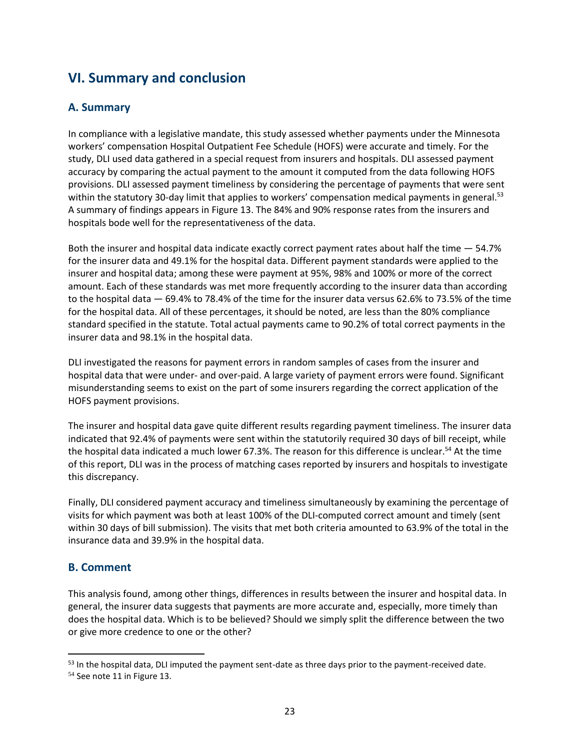# <span id="page-30-0"></span>**VI. Summary and conclusion**

#### **A. Summary**

In compliance with a legislative mandate, this study assessed whether payments under the Minnesota workers' compensation Hospital Outpatient Fee Schedule (HOFS) were accurate and timely. For the study, DLI used data gathered in a special request from insurers and hospitals. DLI assessed payment accuracy by comparing the actual payment to the amount it computed from the data following HOFS provisions. DLI assessed payment timeliness by considering the percentage of payments that were sent within the statutory 30-day limit that applies to workers' compensation medical payments in [general.](https://general.53)<sup>53</sup> A summary of findings appears in Figure 13. The 84% and 90% response rates from the insurers and hospitals bode well for the representativeness of the data.

Both the insurer and hospital data indicate exactly correct payment rates about half the time — 54.7% for the insurer data and 49.1% for the hospital data. Different payment standards were applied to the insurer and hospital data; among these were payment at 95%, 98% and 100% or more of the correct amount. Each of these standards was met more frequently according to the insurer data than according to the hospital data — 69.4% to 78.4% of the time for the insurer data versus 62.6% to 73.5% of the time for the hospital data. All of these percentages, it should be noted, are less than the 80% compliance standard specified in the statute. Total actual payments came to 90.2% of total correct payments in the insurer data and 98.1% in the hospital data.

DLI investigated the reasons for payment errors in random samples of cases from the insurer and hospital data that were under- and over-paid. A large variety of payment errors were found. Significant misunderstanding seems to exist on the part of some insurers regarding the correct application of the HOFS payment provisions.

The insurer and hospital data gave quite different results regarding payment timeliness. The insurer data indicated that 92.4% of payments were sent within the statutorily required 30 days of bill receipt, while the hospital data indicated a much lower 67.3%. The reason for this difference is [unclear.](https://unclear.54) 54 At the time of this report, DLI was in the process of matching cases reported by insurers and hospitals to investigate this discrepancy.

 within 30 days of bill submission). The visits that met both criteria amounted to 63.9% of the total in the Finally, DLI considered payment accuracy and timeliness simultaneously by examining the percentage of visits for which payment was both at least 100% of the DLI-computed correct amount and timely (sent insurance data and 39.9% in the hospital data.

#### **B. Comment**

This analysis found, among other things, differences in results between the insurer and hospital data. In general, the insurer data suggests that payments are more accurate and, especially, more timely than does the hospital data. Which is to be believed? Should we simply split the difference between the two or give more credence to one or the other?

<sup>&</sup>lt;sup>53</sup> In the hospital data, DLI imputed the payment sent-date as three days prior to the payment-received date.

<sup>54</sup> See note 11 in Figure 13.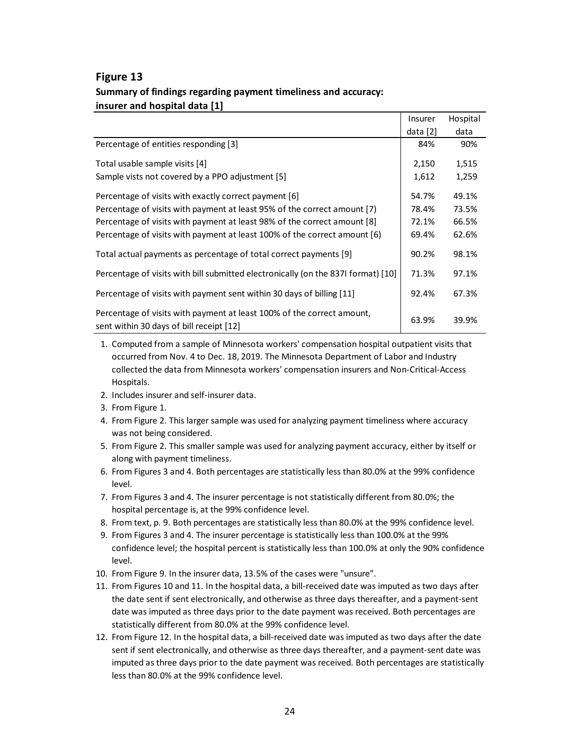#### **Figure 13 Summary of findings regarding payment timeliness and accuracy: insurer and hospital data [1]**

|                                                                                                                    | Insurer    | Hospital |
|--------------------------------------------------------------------------------------------------------------------|------------|----------|
|                                                                                                                    | data $[2]$ | data     |
| Percentage of entities responding [3]                                                                              | 84%        | 90%      |
| Total usable sample visits [4]                                                                                     | 2,150      | 1,515    |
| Sample vists not covered by a PPO adjustment [5]                                                                   | 1,612      | 1,259    |
| Percentage of visits with exactly correct payment [6]                                                              | 54.7%      | 49.1%    |
| Percentage of visits with payment at least 95% of the correct amount [7]                                           | 78.4%      | 73.5%    |
| Percentage of visits with payment at least 98% of the correct amount [8]                                           | 72.1%      | 66.5%    |
| Percentage of visits with payment at least 100% of the correct amount [6]                                          | 69.4%      | 62.6%    |
| Total actual payments as percentage of total correct payments [9]                                                  | 90.2%      | 98.1%    |
| Percentage of visits with bill submitted electronically (on the 837I format) [10]                                  | 71.3%      | 97.1%    |
| Percentage of visits with payment sent within 30 days of billing [11]                                              | 92.4%      | 67.3%    |
| Percentage of visits with payment at least 100% of the correct amount,<br>sent within 30 days of bill receipt [12] | 63.9%      | 39.9%    |

- 1. Computed from a sample of Minnesota workers' compensation hospital outpatient visits that occurred from Nov. 4 to Dec. 18, 2019. The Minnesota Department of Labor and Industry collected the data from Minnesota workers' compensation insurers and Non-Critical-Access Hospitals.
- 2. Includes insurer and self-insurer data.
- 3. From Figure 1.
- 4. From Figure 2. This larger sample was used for analyzing payment timeliness where accuracy was not being considered.
- 5. From Figure 2. This smaller sample was used for analyzing payment accuracy, either by itself or along with payment timeliness.
- 6. From Figures 3 and 4. Both percentages are statistically less than 80.0% at the 99% confidence level.
- 7. From Figures 3 and 4. The insurer percentage is not statistically different from 80.0%; the hospital percentage is, at the 99% confidence level.
- 8. From text, p. 9. Both percentages are statistically less than 80.0% at the 99% confidence level.
- 9. From Figures 3 and 4. The insurer percentage is statistically less than 100.0% at the 99% confidence level; the hospital percent is statistically less than 100.0% at only the 90% confidence level.
- 10. From Figure 9. In the insurer data, 13.5% of the cases were "unsure".
- 11. From Figures 10 and 11. In the hospital data, a bill-received date was imputed as two days after the date sent if sent electronically, and otherwise as three days thereafter, and a payment-sent date was imputed as three days prior to the date payment was received. Both percentages are statistically different from 80.0% at the 99% confidence level.
- 12. From Figure 12. In the hospital data, a bill-received date was imputed as two days after the date sent if sent electronically, and otherwise as three days thereafter, and a payment-sent date was imputed as three days prior to the date payment was received. Both percentages are statistically less than 80.0% at the 99% confidence level.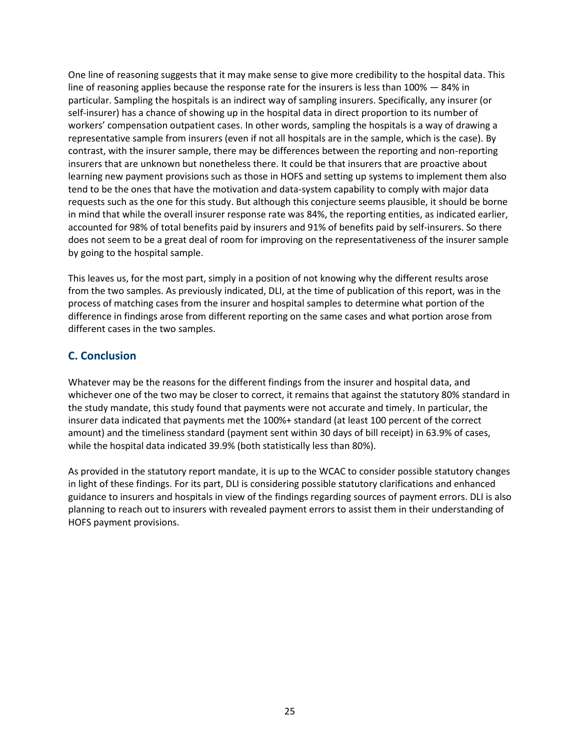<span id="page-32-0"></span> representative sample from insurers (even if not all hospitals are in the sample, which is the case). By tend to be the ones that have the motivation and data-system capability to comply with major data One line of reasoning suggests that it may make sense to give more credibility to the hospital data. This line of reasoning applies because the response rate for the insurers is less than 100% - 84% in particular. Sampling the hospitals is an indirect way of sampling insurers. Specifically, any insurer (or self-insurer) has a chance of showing up in the hospital data in direct proportion to its number of workers' compensation outpatient cases. In other words, sampling the hospitals is a way of drawing a contrast, with the insurer sample, there may be differences between the reporting and non-reporting insurers that are unknown but nonetheless there. It could be that insurers that are proactive about learning new payment provisions such as those in HOFS and setting up systems to implement them also requests such as the one for this study. But although this conjecture seems plausible, it should be borne in mind that while the overall insurer response rate was 84%, the reporting entities, as indicated earlier, accounted for 98% of total benefits paid by insurers and 91% of benefits paid by self-insurers. So there does not seem to be a great deal of room for improving on the representativeness of the insurer sample by going to the hospital sample.

 This leaves us, for the most part, simply in a position of not knowing why the different results arose from the two samples. As previously indicated, DLI, at the time of publication of this report, was in the process of matching cases from the insurer and hospital samples to determine what portion of the difference in findings arose from different reporting on the same cases and what portion arose from different cases in the two samples.

#### **C. Conclusion**

Whatever may be the reasons for the different findings from the insurer and hospital data, and whichever one of the two may be closer to correct, it remains that against the statutory 80% standard in the study mandate, this study found that payments were not accurate and timely. In particular, the insurer data indicated that payments met the 100%+ standard (at least 100 percent of the correct amount) and the timeliness standard (payment sent within 30 days of bill receipt) in 63.9% of cases, while the hospital data indicated 39.9% (both statistically less than 80%).

As provided in the statutory report mandate, it is up to the WCAC to consider possible statutory changes in light of these findings. For its part, DLI is considering possible statutory clarifications and enhanced guidance to insurers and hospitals in view of the findings regarding sources of payment errors. DLI is also planning to reach out to insurers with revealed payment errors to assist them in their understanding of HOFS payment provisions.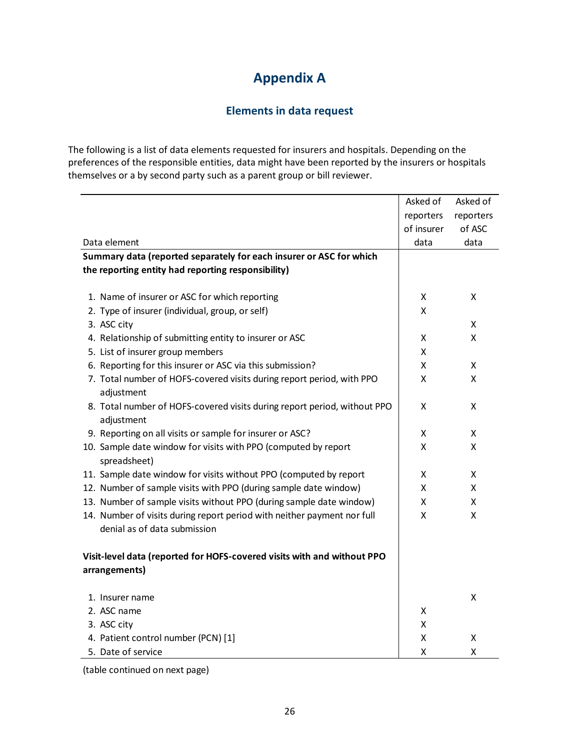# **Appendix A**

#### **Elements in data request**

<span id="page-33-0"></span>The following is a list of data elements requested for insurers and hospitals. Depending on the preferences of the responsible entities, data might have been reported by the insurers or hospitals themselves or a by second party such as a parent group or bill reviewer.

|                                                                                | Asked of   | Asked of  |
|--------------------------------------------------------------------------------|------------|-----------|
|                                                                                | reporters  | reporters |
|                                                                                | of insurer | of ASC    |
| Data element                                                                   | data       | data      |
| Summary data (reported separately for each insurer or ASC for which            |            |           |
| the reporting entity had reporting responsibility)                             |            |           |
|                                                                                |            |           |
| 1. Name of insurer or ASC for which reporting                                  | X          | X         |
| 2. Type of insurer (individual, group, or self)                                | Χ          |           |
| 3. ASC city                                                                    |            | X         |
| 4. Relationship of submitting entity to insurer or ASC                         | x          | Χ         |
| 5. List of insurer group members                                               | х          |           |
| 6. Reporting for this insurer or ASC via this submission?                      | x          | X         |
| 7. Total number of HOFS-covered visits during report period, with PPO          | x          | X         |
| adjustment                                                                     |            |           |
| 8. Total number of HOFS-covered visits during report period, without PPO       | Χ          | x         |
| adjustment                                                                     |            |           |
| 9. Reporting on all visits or sample for insurer or ASC?                       | X          | X         |
| 10. Sample date window for visits with PPO (computed by report<br>spreadsheet) | Χ          | X         |
| 11. Sample date window for visits without PPO (computed by report              | x          | X         |
| 12. Number of sample visits with PPO (during sample date window)               | x          | X         |
| 13. Number of sample visits without PPO (during sample date window)            | X          | X         |
| 14. Number of visits during report period with neither payment nor full        | X          | X         |
| denial as of data submission                                                   |            |           |
|                                                                                |            |           |
| Visit-level data (reported for HOFS-covered visits with and without PPO        |            |           |
| arrangements)                                                                  |            |           |
|                                                                                |            | X         |
| 1. Insurer name<br>2. ASC name                                                 |            |           |
|                                                                                | X          |           |
| 3. ASC city                                                                    | x<br>Χ     | Χ         |
| 4. Patient control number (PCN) [1]                                            |            |           |
| 5. Date of service                                                             | X          | Χ         |

(table continued on next page)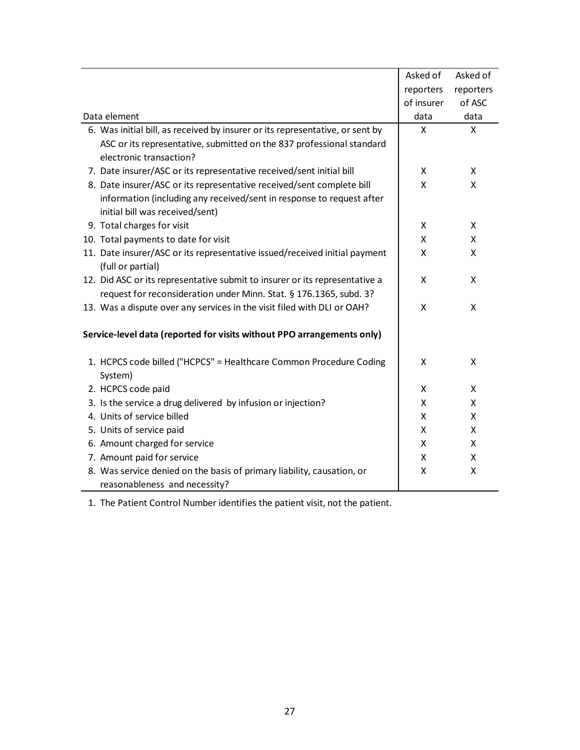|                                                                               | Asked of   | Asked of  |
|-------------------------------------------------------------------------------|------------|-----------|
|                                                                               | reporters  | reporters |
|                                                                               | of insurer | of ASC    |
| Data element                                                                  | data       | data      |
| 6. Was initial bill, as received by insurer or its representative, or sent by | X          | X         |
| ASC or its representative, submitted on the 837 professional standard         |            |           |
| electronic transaction?                                                       |            |           |
| 7. Date insurer/ASC or its representative received/sent initial bill          | X          | X         |
| 8. Date insurer/ASC or its representative received/sent complete bill         | X          | X         |
| information (including any received/sent in response to request after         |            |           |
| initial bill was received/sent)                                               |            |           |
| 9. Total charges for visit                                                    | X          | X         |
| 10. Total payments to date for visit                                          | X          | X         |
| 11. Date insurer/ASC or its representative issued/received initial payment    | X          | X         |
| (full or partial)                                                             |            |           |
| 12. Did ASC or its representative submit to insurer or its representative a   | X          | X         |
| request for reconsideration under Minn. Stat. § 176.1365, subd. 3?            |            |           |
| 13. Was a dispute over any services in the visit filed with DLI or OAH?       | X          | X         |
| Service-level data (reported for visits without PPO arrangements only)        |            |           |
| 1. HCPCS code billed ("HCPCS" = Healthcare Common Procedure Coding            | X          | X         |
| System)                                                                       |            |           |
| 2. HCPCS code paid                                                            | X          | X         |
| 3. Is the service a drug delivered by infusion or injection?                  | X          | X         |
| 4. Units of service billed                                                    | X          | X         |
| 5. Units of service paid                                                      | X          | X         |
|                                                                               |            |           |
| 6. Amount charged for service                                                 | X          | X         |
| 7. Amount paid for service                                                    | X          | X         |
| 8. Was service denied on the basis of primary liability, causation, or        | X          | Χ         |
| reasonableness and necessity?                                                 |            |           |

1. The Patient Control Number identifies the patient visit, not the patient.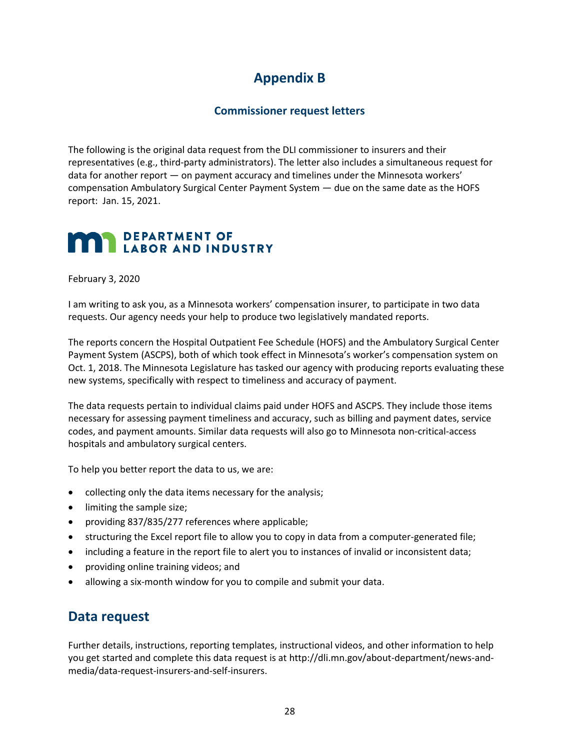# **Appendix B**

#### **Commissioner request letters**

<span id="page-35-0"></span> report: Jan. 15, 2021. The following is the original data request from the DLI commissioner to insurers and their representatives (e.g., third-party administrators). The letter also includes a simultaneous request for data for another report — on payment accuracy and timelines under the Minnesota workers' compensation Ambulatory Surgical Center Payment System — due on the same date as the HOFS

### **, DEPARTMENT** OF **LABOR AND** INDUSTRY

February 3, 2020

I am writing to ask you, as a Minnesota workers' compensation insurer, to participate in two data requests. Our agency needs your help to produce two legislatively mandated reports.

 Oct. 1, 2018. The Minnesota Legislature has tasked our agency with producing reports evaluating these The reports concern the Hospital Outpatient Fee Schedule (HOFS) and the Ambulatory Surgical Center Payment System (ASCPS), both of which took effect in Minnesota's worker's compensation system on new systems, specifically with respect to timeliness and accuracy of payment.

 The data requests pertain to individual claims paid under HOFS and ASCPS. They include those items necessary for assessing payment timeliness and accuracy, such as billing and payment dates, service codes, and payment amounts. Similar data requests will also go to Minnesota non-critical-access hospitals and ambulatory surgical centers.

To help you better report the data to us, we are:

- collecting only the data items necessary for the analysis;
- limiting the sample size;
- providing 837/835/277 references where applicable;
- structuring the Excel report file to allow you to copy in data from a computer-generated file;
- including a feature in the report file to alert you to instances of invalid or inconsistent data;
- providing online training videos; and
- allowing a six-month window for you to compile and submit your data.

### **Data request**

 Further details, instructions, reporting templates, instructional videos, and other information to help you get started and complete this data request is at [http://dli.mn.gov/about-department/news-and](http://dli.mn.gov/about-department/news-and-media/data-request-insurers-and-self-insurers)[media/data-request-insurers-and-self-insurers.](http://dli.mn.gov/about-department/news-and-media/data-request-insurers-and-self-insurers)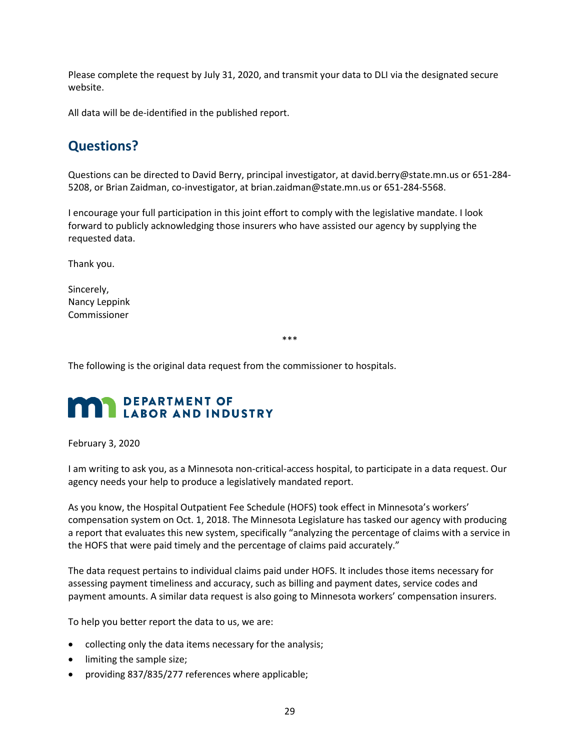Please complete the request by July 31, 2020, and transmit your data to DLI via the designated secure website.

All data will be de-identified in the published report.

## **Questions?**

 Questions can be directed to David Berry, principal investigator, at [david.berry@state.mn.us](mailto:david.berry@state.mn.us) or 651-284- 5208, or Brian Zaidman, co-investigator, at [brian.zaidman@state.mn.us](mailto:brian.zaidman@state.mn.us) or 651-284-5568.

I encourage your full participation in this joint effort to comply with the legislative mandate. I look forward to publicly acknowledging those insurers who have assisted our agency by supplying the requested data.

Thank you.

Sincerely, Nancy Leppink Commissioner

\*\*\*

The following is the original data request from the commissioner to hospitals.

# **1** DEPARTMENT OF LABOR AND INDUSTRY

#### February 3, 2020

I am writing to ask you, as a Minnesota non-critical-access hospital, to participate in a data request. Our agency needs your help to produce a legislatively mandated report.

 compensation system on Oct. 1, 2018. The Minnesota Legislature has tasked our agency with producing As you know, the Hospital Outpatient Fee Schedule (HOFS) took effect in Minnesota's workers' a report that evaluates this new system, specifically "analyzing the percentage of claims with a service in the HOFS that were paid timely and the percentage of claims paid accurately."

 payment amounts. A similar data request is also going to Minnesota workers' compensation insurers. The data request pertains to individual claims paid under HOFS. It includes those items necessary for assessing payment timeliness and accuracy, such as billing and payment dates, service codes and

To help you better report the data to us, we are:

- collecting only the data items necessary for the analysis;
- limiting the sample size;
- providing 837/835/277 references where applicable;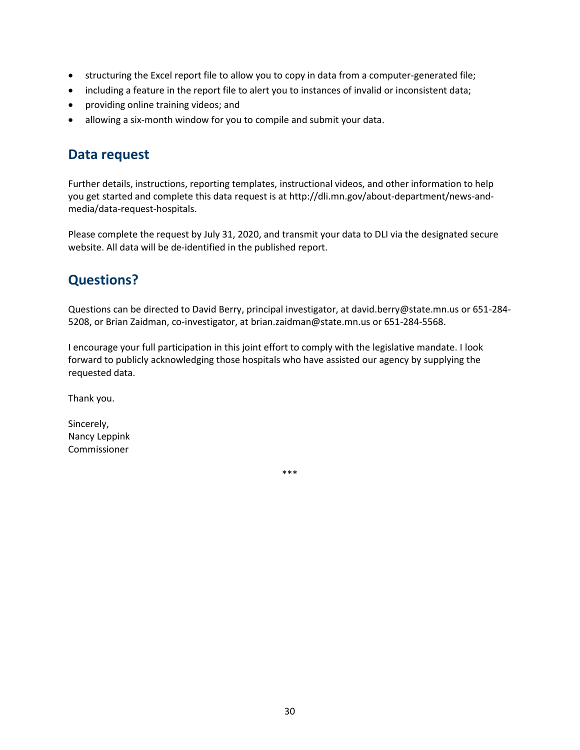- structuring the Excel report file to allow you to copy in data from a computer-generated file;
- including a feature in the report file to alert you to instances of invalid or inconsistent data;
- providing online training videos; and
- allowing a six-month window for you to compile and submit your data.

### **Data request**

 Further details, instructions, reporting templates, instructional videos, and other information to help you get started and complete this data request is at [http://dli.mn.gov/about-department/news-and](http://dli.mn.gov/about-department/news-and-media/data-request-hospitals)[media/data-request-hospitals.](http://dli.mn.gov/about-department/news-and-media/data-request-hospitals)

 Please complete the request by July 31, 2020, and transmit your data to DLI via the designated secure website. All data will be de-identified in the published report.

# **Questions?**

 Questions can be directed to David Berry, principal investigator, at [david.berry@state.mn.us](mailto:david.berry@state.mn.us) or 651-284- 5208, or Brian Zaidman, co-investigator, at [brian.zaidman@state.mn.us](mailto:brian.zaidman@state.mn.us) or 651-284-5568.

 forward to publicly acknowledging those hospitals who have assisted our agency by supplying the I encourage your full participation in this joint effort to comply with the legislative mandate. I look requested data.

Thank you.

Sincerely, Nancy Leppink Commissioner

\*\*\*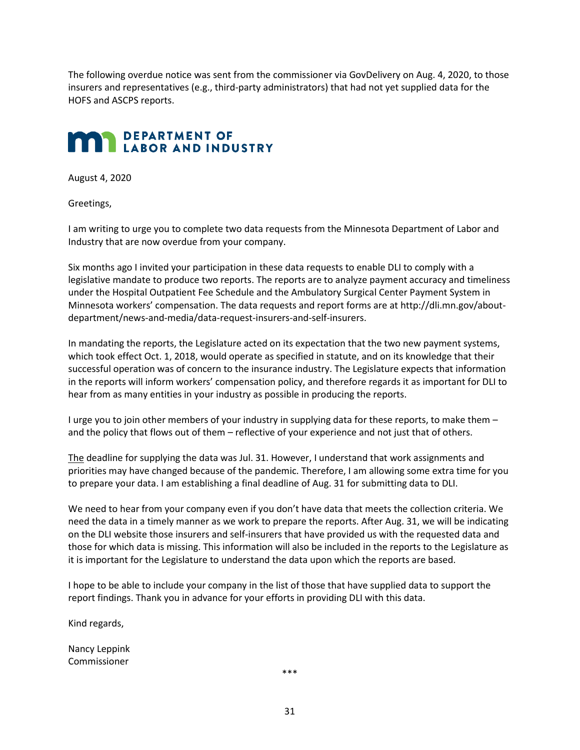The following overdue notice was sent from the commissioner via GovDelivery on Aug. 4, 2020, to those insurers and representatives (e.g., third-party administrators) that had not yet supplied data for the HOFS and ASCPS reports.

## **)** DEPARTMENT OF LABOR AND INDUSTRY

August 4, 2020

Greetings,

I am writing to urge you to complete two data requests from the Minnesota Department of Labor and Industry that are now overdue from your company.

 under the Hospital Outpatient Fee Schedule and the Ambulatory Surgical Center Payment System in Six months ago I invited your participation in these data requests to enable DLI to comply with a legislative mandate to produce two reports. The reports are to analyze payment accuracy and timeliness Minnesota workers' compensation. The data requests and report forms are a[t http://dli.mn.gov/about](http://dli.mn.gov/about-department/news-and-media/data-request-insurers-and-self-insurers)[department/news-and-media/data-request-insurers-and-self-insurers.](http://dli.mn.gov/about-department/news-and-media/data-request-insurers-and-self-insurers)

 In mandating the reports, the Legislature acted on its expectation that the two new payment systems, successful operation was of concern to the insurance industry. The Legislature expects that information which took effect Oct. 1, 2018, would operate as specified in statute, and on its knowledge that their in the reports will inform workers' compensation policy, and therefore regards it as important for DLI to hear from as many entities in your industry as possible in producing the reports.

 I urge you to join other members of your industry in supplying data for these reports, to make them – and the policy that flows out of them – reflective of your experience and not just that of others.

The deadline for supplying the data was Jul. 31. However, I understand that work assignments and priorities may have changed because of the pandemic. Therefore, I am allowing some extra time for you to prepare your data. I am establishing a final deadline of Aug. 31 for submitting data to DLI.

We need to hear from your company even if you don't have data that meets the collection criteria. We need the data in a timely manner as we work to prepare the reports. After Aug. 31, we will be indicating on the DLI website those insurers and self-insurers that have provided us with the requested data and those for which data is missing. This information will also be included in the reports to the Legislature as it is important for the Legislature to understand the data upon which the reports are based.

I hope to be able to include your company in the list of those that have supplied data to support the report findings. Thank you in advance for your efforts in providing DLI with this data.

Kind regards,

Nancy Leppink Commissioner

\*\*\*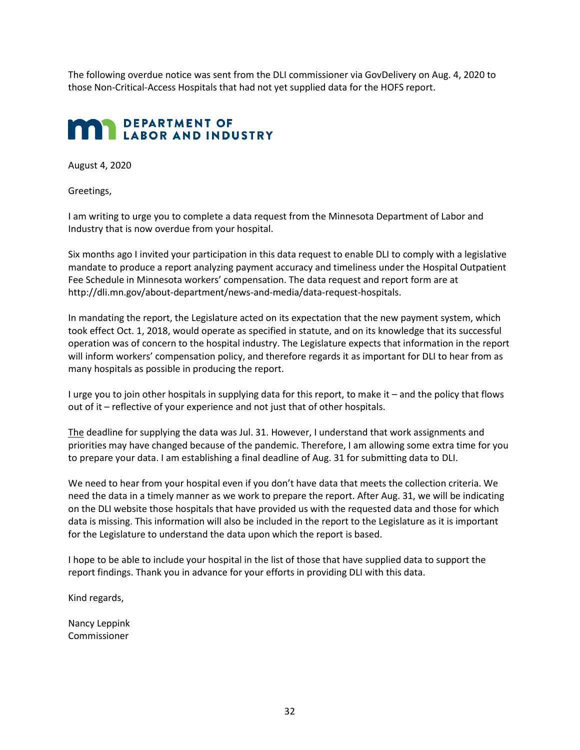The following overdue notice was sent from the DLI commissioner via GovDelivery on Aug. 4, 2020 to those Non-Critical-Access Hospitals that had not yet supplied data for the HOFS report.

## **)** DEPARTMENT OF LABOR AND INDUSTRY

August 4, 2020

Greetings,

I am writing to urge you to complete a data request from the Minnesota Department of Labor and Industry that is now overdue from your hospital.

Six months ago I invited your participation in this data request to enable DLI to comply with a legislative mandate to produce a report analyzing payment accuracy and timeliness under the Hospital Outpatient Fee Schedule in Minnesota workers' compensation. The data request and report form are at [http://dli.mn.gov/about-department/news-and-media/data-request-hospitals.](http://dli.mn.gov/about-department/news-and-media/data-request-hospitals)

In mandating the report, the Legislature acted on its expectation that the new payment system, which took effect Oct. 1, 2018, would operate as specified in statute, and on its knowledge that its successful operation was of concern to the hospital industry. The Legislature expects that information in the report will inform workers' compensation policy, and therefore regards it as important for DLI to hear from as many hospitals as possible in producing the report.

 I urge you to join other hospitals in supplying data for this report, to make it – and the policy that flows out of it – reflective of your experience and not just that of other hospitals.

The deadline for supplying the data was Jul. 31. However, I understand that work assignments and priorities may have changed because of the pandemic. Therefore, I am allowing some extra time for you to prepare your data. I am establishing a final deadline of Aug. 31 for submitting data to DLI.

 for the Legislature to understand the data upon which the report is based. We need to hear from your hospital even if you don't have data that meets the collection criteria. We need the data in a timely manner as we work to prepare the report. After Aug. 31, we will be indicating on the DLI website those hospitals that have provided us with the requested data and those for which data is missing. This information will also be included in the report to the Legislature as it is important

I hope to be able to include your hospital in the list of those that have supplied data to support the report findings. Thank you in advance for your efforts in providing DLI with this data.

Kind regards,

Nancy Leppink Commissioner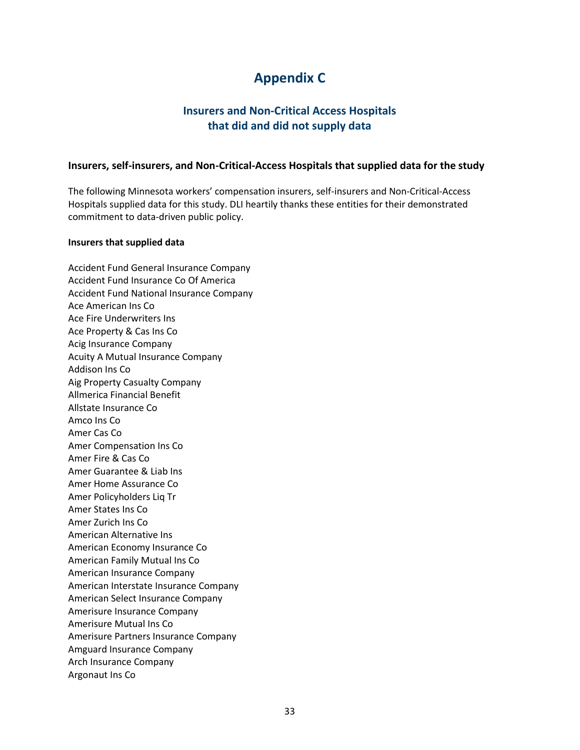# **Appendix C**

### **Insurers and Non-Critical Access Hospitals that did and did not supply data**

#### <span id="page-40-0"></span> **Insurers, self-insurers, and Non-Critical-Access Hospitals that supplied data for the study**

The following Minnesota workers' compensation insurers, self-insurers and Non-Critical-Access Hospitals supplied data for this study. DLI heartily thanks these entities for their demonstrated commitment to data-driven public policy.

#### **Insurers that supplied data**

Accident Fund General Insurance Company Accident Fund Insurance Co Of America Accident Fund National Insurance Company Ace American Ins Co Ace Fire Underwriters Ins Ace Property & Cas Ins Co Acig Insurance Company Acuity A Mutual Insurance Company Addison Ins Co Aig Property Casualty Company Allmerica Financial Benefit Allstate Insurance Co Amco Ins Co Amer Cas Co Amer Compensation Ins Co Amer Fire & Cas Co Amer Guarantee & Liab Ins Amer Home Assurance Co Amer Policyholders Liq Tr Amer States Ins Co Amer Zurich Ins Co American Alternative Ins American Economy Insurance Co American Family Mutual Ins Co American Insurance Company American Interstate Insurance Company American Select Insurance Company Amerisure Insurance Company Amerisure Mutual Ins Co Amerisure Partners Insurance Company Amguard Insurance Company Arch Insurance Company Argonaut Ins Co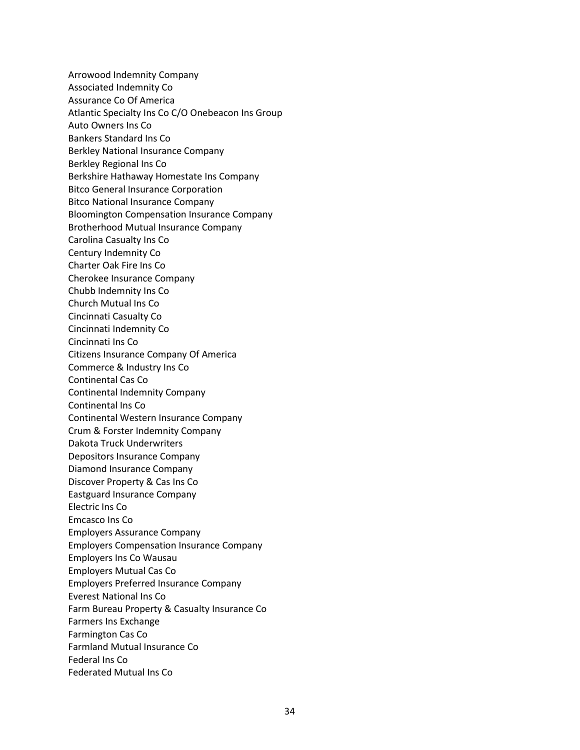Arrowood Indemnity Company Associated Indemnity Co Assurance Co Of America Atlantic Specialty Ins Co C/O Onebeacon Ins Group Auto Owners Ins Co Bankers Standard Ins Co Berkley National Insurance Company Berkley Regional Ins Co Berkshire Hathaway Homestate Ins Company Bitco General Insurance Corporation Bitco National Insurance Company Bloomington Compensation Insurance Company Brotherhood Mutual Insurance Company Carolina Casualty Ins Co Century Indemnity Co Charter Oak Fire Ins Co Cherokee Insurance Company Chubb Indemnity Ins Co Church Mutual Ins Co Cincinnati Casualty Co Cincinnati Indemnity Co Cincinnati Ins Co Citizens Insurance Company Of America Commerce & Industry Ins Co Continental Cas Co Continental Indemnity Company Continental Ins Co Continental Western Insurance Company Crum & Forster Indemnity Company Dakota Truck Underwriters Depositors Insurance Company Diamond Insurance Company Discover Property & Cas Ins Co Eastguard Insurance Company Electric Ins Co Emcasco Ins Co Employers Assurance Company Employers Compensation Insurance Company Employers Ins Co Wausau Employers Mutual Cas Co Employers Preferred Insurance Company Everest National Ins Co Farm Bureau Property & Casualty Insurance Co Farmers Ins Exchange Farmington Cas Co Farmland Mutual Insurance Co Federal Ins Co Federated Mutual Ins Co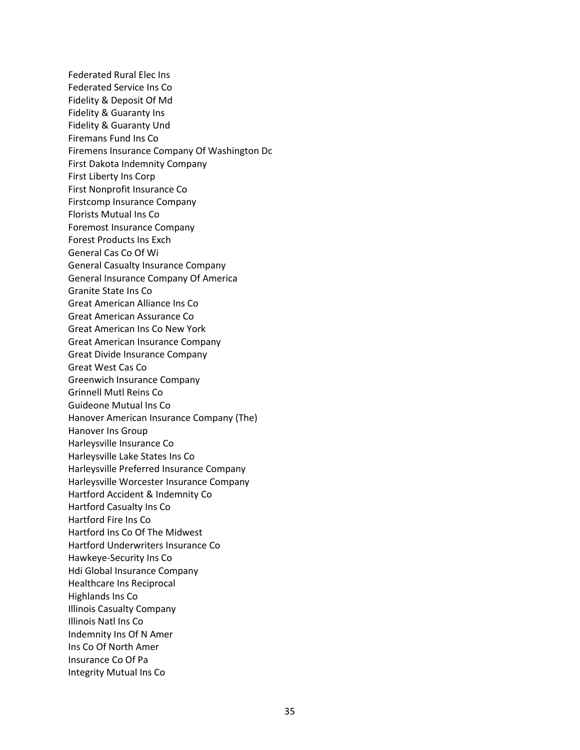Federated Rural Elec Ins Federated Service Ins Co Fidelity & Deposit Of Md Fidelity & Guaranty Ins Fidelity & Guaranty Und Firemans Fund Ins Co Firemens Insurance Company Of Washington Dc First Dakota Indemnity Company First Liberty Ins Corp First Nonprofit Insurance Co Firstcomp Insurance Company Florists Mutual Ins Co Foremost Insurance Company Forest Products Ins Exch General Cas Co Of Wi General Casualty Insurance Company General Insurance Company Of America Granite State Ins Co Great American Alliance Ins Co Great American Assurance Co Great American Ins Co New York Great American Insurance Company Great Divide Insurance Company Great West Cas Co Greenwich Insurance Company Grinnell Mutl Reins Co Guideone Mutual Ins Co Hanover American Insurance Company (The) Hanover Ins Group Harleysville Insurance Co Harleysville Lake States Ins Co Harleysville Preferred Insurance Company Harleysville Worcester Insurance Company Hartford Accident & Indemnity Co Hartford Casualty Ins Co Hartford Fire Ins Co Hartford Ins Co Of The Midwest Hartford Underwriters Insurance Co Hawkeye-Security Ins Co Hdi Global Insurance Company Healthcare Ins Reciprocal Highlands Ins Co Illinois Casualty Company Illinois Natl Ins Co Indemnity Ins Of N Amer Ins Co Of North Amer Insurance Co Of Pa Integrity Mutual Ins Co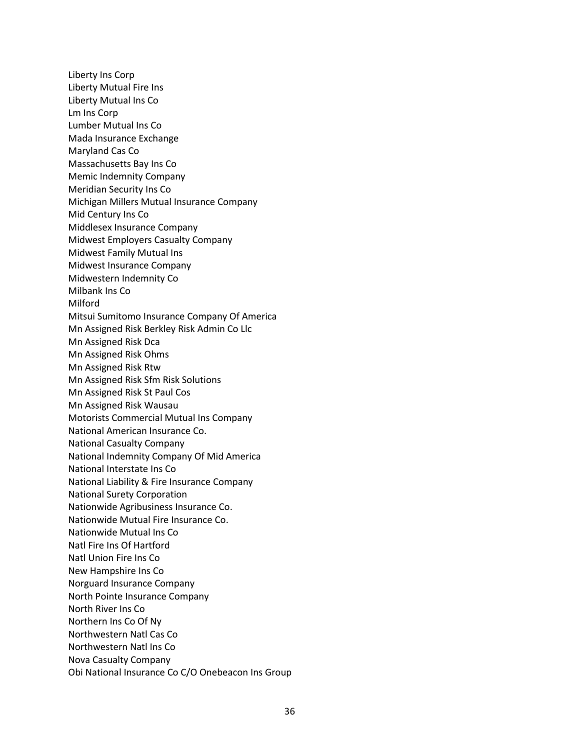Liberty Ins Corp Liberty Mutual Fire Ins Liberty Mutual Ins Co Lm Ins Corp Lumber Mutual Ins Co Mada Insurance Exchange Maryland Cas Co Massachusetts Bay Ins Co Memic Indemnity Company Meridian Security Ins Co Michigan Millers Mutual Insurance Company Mid Century Ins Co Middlesex Insurance Company Midwest Employers Casualty Company Midwest Family Mutual Ins Midwest Insurance Company Midwestern Indemnity Co Milbank Ins Co Milford Mitsui Sumitomo Insurance Company Of America Mn Assigned Risk Berkley Risk Admin Co Llc Mn Assigned Risk Dca Mn Assigned Risk Ohms Mn Assigned Risk Rtw Mn Assigned Risk Sfm Risk Solutions Mn Assigned Risk St Paul Cos Mn Assigned Risk Wausau Motorists Commercial Mutual Ins Company National American Insurance Co. National Casualty Company National Indemnity Company Of Mid America National Interstate Ins Co National Liability & Fire Insurance Company National Surety Corporation Nationwide Agribusiness Insurance Co. Nationwide Mutual Fire Insurance Co. Nationwide Mutual Ins Co Natl Fire Ins Of Hartford Natl Union Fire Ins Co New Hampshire Ins Co Norguard Insurance Company North Pointe Insurance Company North River Ins Co Northern Ins Co Of Ny Northwestern Natl Cas Co Northwestern Natl Ins Co Nova Casualty Company Obi National Insurance Co C/O Onebeacon Ins Group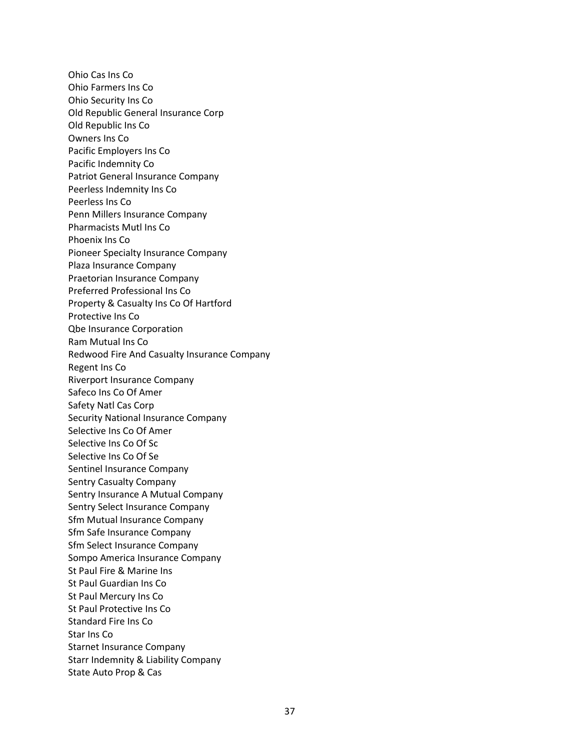Starr Indemnity & Liability Company State Auto Prop & Cas Ohio Cas Ins Co Ohio Farmers Ins Co Ohio Security Ins Co Old Republic General Insurance Corp Old Republic Ins Co Owners Ins Co Pacific Employers Ins Co Pacific Indemnity Co Patriot General Insurance Company Peerless Indemnity Ins Co Peerless Ins Co Penn Millers Insurance Company Pharmacists Mutl Ins Co Phoenix Ins Co Pioneer Specialty Insurance Company Plaza Insurance Company Praetorian Insurance Company Preferred Professional Ins Co Property & Casualty Ins Co Of Hartford Protective Ins Co Qbe Insurance Corporation Ram Mutual Ins Co Redwood Fire And Casualty Insurance Company Regent Ins Co Riverport Insurance Company Safeco Ins Co Of Amer Safety Natl Cas Corp Security National Insurance Company Selective Ins Co Of Amer Selective Ins Co Of Sc Selective Ins Co Of Se Sentinel Insurance Company Sentry Casualty Company Sentry Insurance A Mutual Company Sentry Select Insurance Company Sfm Mutual Insurance Company Sfm Safe Insurance Company Sfm Select Insurance Company Sompo America Insurance Company St Paul Fire & Marine Ins St Paul Guardian Ins Co St Paul Mercury Ins Co St Paul Protective Ins Co Standard Fire Ins Co Star Ins Co Starnet Insurance Company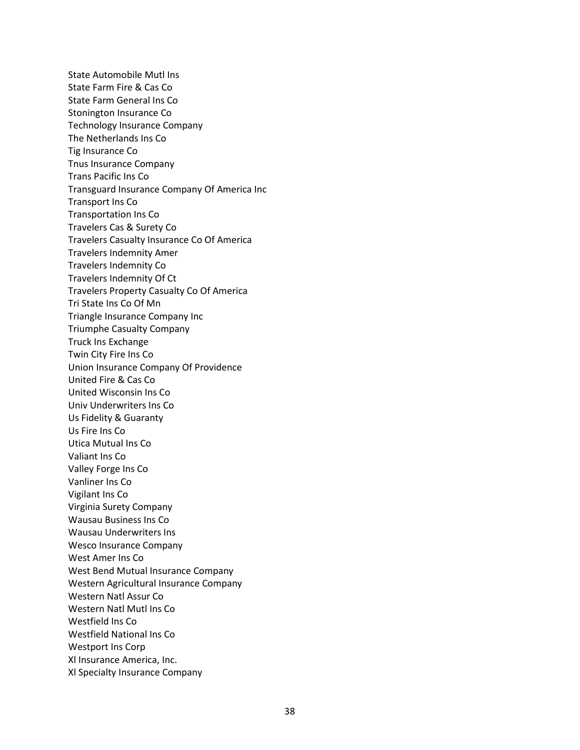State Automobile Mutl Ins State Farm Fire & Cas Co State Farm General Ins Co Stonington Insurance Co Technology Insurance Company The Netherlands Ins Co Tig Insurance Co Tnus Insurance Company Trans Pacific Ins Co Transguard Insurance Company Of America Inc Transport Ins Co Transportation Ins Co Travelers Cas & Surety Co Travelers Casualty Insurance Co Of America Travelers Indemnity Amer Travelers Indemnity Co Travelers Indemnity Of Ct Travelers Property Casualty Co Of America Tri State Ins Co Of Mn Triangle Insurance Company Inc Triumphe Casualty Company Truck Ins Exchange Twin City Fire Ins Co Union Insurance Company Of Providence United Fire & Cas Co United Wisconsin Ins Co Univ Underwriters Ins Co Us Fidelity & Guaranty Us Fire Ins Co Utica Mutual Ins Co Valiant Ins Co Valley Forge Ins Co Vanliner Ins Co Vigilant Ins Co Virginia Surety Company Wausau Business Ins Co Wausau Underwriters Ins Wesco Insurance Company West Amer Ins Co West Bend Mutual Insurance Company Western Agricultural Insurance Company Western Natl Assur Co Western Natl Mutl Ins Co Westfield Ins Co Westfield National Ins Co Westport Ins Corp Xl Insurance America, Inc. Xl Specialty Insurance Company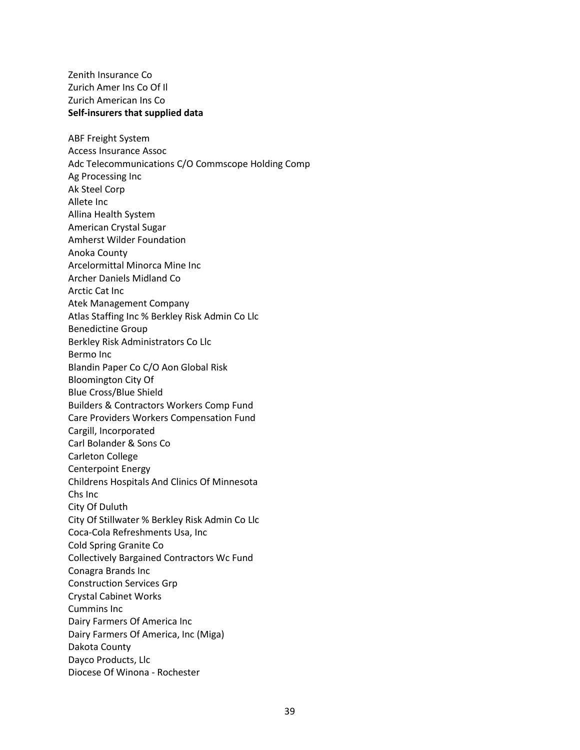Zenith Insurance Co Zurich Amer Ins Co Of Il Zurich American Ins Co **Self-insurers that supplied data** 

ABF Freight System Access Insurance Assoc Adc Telecommunications C/O Commscope Holding Comp Ag Processing Inc Ak Steel Corp Allete Inc Allina Health System American Crystal Sugar Amherst Wilder Foundation Anoka County Arcelormittal Minorca Mine Inc Archer Daniels Midland Co Arctic Cat Inc Atek Management Company Atlas Staffing Inc % Berkley Risk Admin Co Llc Benedictine Group Berkley Risk Administrators Co Llc Bermo Inc Blandin Paper Co C/O Aon Global Risk Bloomington City Of Blue Cross/Blue Shield Builders & Contractors Workers Comp Fund Care Providers Workers Compensation Fund Cargill, Incorporated Carl Bolander & Sons Co Carleton College Centerpoint Energy Childrens Hospitals And Clinics Of Minnesota Chs Inc City Of Duluth City Of Stillwater % Berkley Risk Admin Co Llc Coca-Cola Refreshments Usa, Inc Cold Spring Granite Co Collectively Bargained Contractors Wc Fund Conagra Brands Inc Construction Services Grp Crystal Cabinet Works Cummins Inc Dairy Farmers Of America Inc Dairy Farmers Of America, Inc (Miga) Dakota County Dayco Products, Llc Diocese Of Winona - Rochester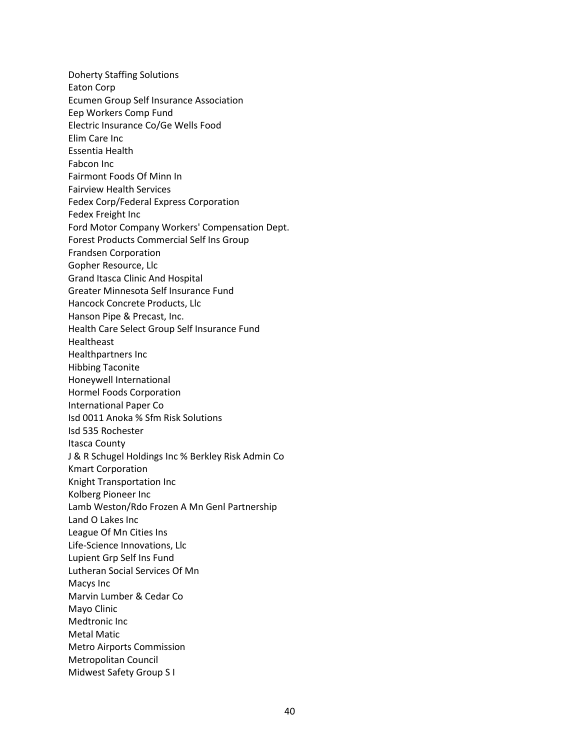Doherty Staffing Solutions Eaton Corp Ecumen Group Self Insurance Association Eep Workers Comp Fund Electric Insurance Co/Ge Wells Food Elim Care Inc Essentia Health Fabcon Inc Fairmont Foods Of Minn In Fairview Health Services Fedex Corp/Federal Express Corporation Fedex Freight Inc Ford Motor Company Workers' Compensation Dept. Forest Products Commercial Self Ins Group Frandsen Corporation Gopher Resource, Llc Grand Itasca Clinic And Hospital Greater Minnesota Self Insurance Fund Hancock Concrete Products, Llc Hanson Pipe & Precast, Inc. Health Care Select Group Self Insurance Fund Healtheast Healthpartners Inc Hibbing Taconite Honeywell International Hormel Foods Corporation International Paper Co Isd 0011 Anoka % Sfm Risk Solutions Isd 535 Rochester Itasca County J & R Schugel Holdings Inc % Berkley Risk Admin Co Kmart Corporation Knight Transportation Inc Kolberg Pioneer Inc Lamb Weston/Rdo Frozen A Mn Genl Partnership Land O Lakes Inc League Of Mn Cities Ins Life-Science Innovations, Llc Lupient Grp Self Ins Fund Lutheran Social Services Of Mn Macys Inc Marvin Lumber & Cedar Co Mayo Clinic Medtronic Inc Metal Matic Metro Airports Commission Metropolitan Council Midwest Safety Group S I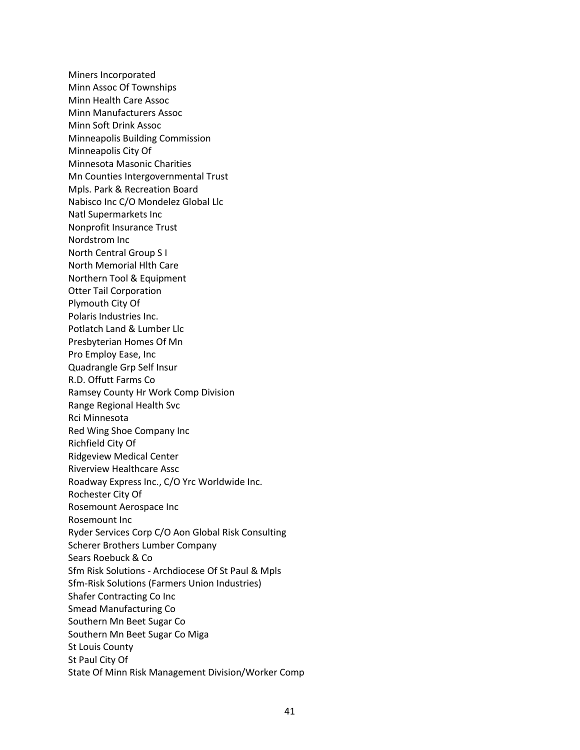Miners Incorporated Minn Assoc Of Townships Minn Health Care Assoc Minn Manufacturers Assoc Minn Soft Drink Assoc Minneapolis Building Commission Minneapolis City Of Minnesota Masonic Charities Mn Counties Intergovernmental Trust Mpls. Park & Recreation Board Nabisco Inc C/O Mondelez Global Llc Natl Supermarkets Inc Nonprofit Insurance Trust Nordstrom Inc North Central Group S I North Memorial Hlth Care Northern Tool & Equipment Otter Tail Corporation Plymouth City Of Polaris Industries Inc. Potlatch Land & Lumber Llc Presbyterian Homes Of Mn Pro Employ Ease, Inc Quadrangle Grp Self Insur R.D. Offutt Farms Co Ramsey County Hr Work Comp Division Range Regional Health Svc Rci Minnesota Red Wing Shoe Company Inc Richfield City Of Ridgeview Medical Center Riverview Healthcare Assc Roadway Express Inc., C/O Yrc Worldwide Inc. Rochester City Of Rosemount Aerospace Inc Rosemount Inc Ryder Services Corp C/O Aon Global Risk Consulting Scherer Brothers Lumber Company Sears Roebuck & Co Sfm Risk Solutions - Archdiocese Of St Paul & Mpls Sfm-Risk Solutions (Farmers Union Industries) Shafer Contracting Co Inc Smead Manufacturing Co Southern Mn Beet Sugar Co Southern Mn Beet Sugar Co Miga St Louis County St Paul City Of State Of Minn Risk Management Division/Worker Comp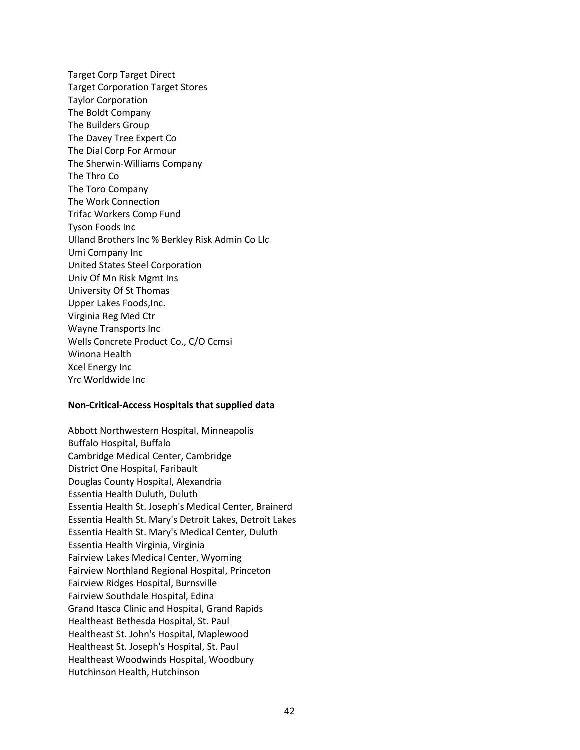Target Corp Target Direct Target Corporation Target Stores Taylor Corporation The Boldt Company The Builders Group The Davey Tree Expert Co The Dial Corp For Armour The Sherwin-Williams Company The Thro Co The Toro Company The Work Connection Trifac Workers Comp Fund Tyson Foods Inc Ulland Brothers Inc % Berkley Risk Admin Co Llc Umi Company Inc United States Steel Corporation Univ Of Mn Risk Mgmt Ins University Of St Thomas Upper Lakes Foods,Inc. Virginia Reg Med Ctr Wayne Transports Inc Wells Concrete Product Co., C/O Ccmsi Winona Health Xcel Energy Inc Yrc Worldwide Inc

#### **Non-Critical-Access Hospitals that supplied data**

Abbott Northwestern Hospital, Minneapolis Buffalo Hospital, Buffalo Cambridge Medical Center, Cambridge District One Hospital, Faribault Douglas County Hospital, Alexandria Essentia Health Duluth, Duluth Essentia Health St. Joseph's Medical Center, Brainerd Essentia Health St. Mary's Detroit Lakes, Detroit Lakes Essentia Health St. Mary's Medical Center, Duluth Essentia Health Virginia, Virginia Fairview Lakes Medical Center, Wyoming Fairview Northland Regional Hospital, Princeton Fairview Ridges Hospital, Burnsville Fairview Southdale Hospital, Edina Grand Itasca Clinic and Hospital, Grand Rapids Healtheast Bethesda Hospital, St. Paul Healtheast St. John's Hospital, Maplewood Healtheast St. Joseph's Hospital, St. Paul Healtheast Woodwinds Hospital, Woodbury Hutchinson Health, Hutchinson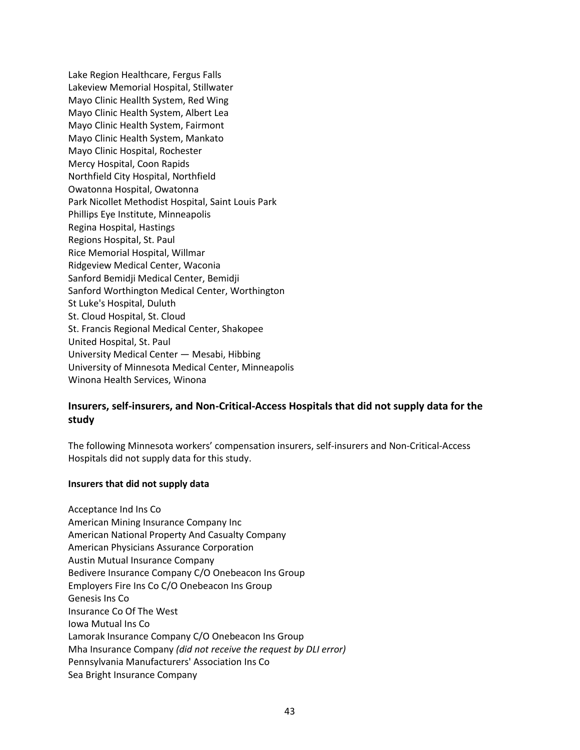Lake Region Healthcare, Fergus Falls Lakeview Memorial Hospital, Stillwater Mayo Clinic Heallth System, Red Wing Mayo Clinic Health System, Albert Lea Mayo Clinic Health System, Fairmont Mayo Clinic Health System, Mankato Mayo Clinic Hospital, Rochester Mercy Hospital, Coon Rapids Northfield City Hospital, Northfield Owatonna Hospital, Owatonna Park Nicollet Methodist Hospital, Saint Louis Park Phillips Eye Institute, Minneapolis Regina Hospital, Hastings Regions Hospital, St. Paul Rice Memorial Hospital, Willmar Ridgeview Medical Center, Waconia Sanford Bemidji Medical Center, Bemidji Sanford Worthington Medical Center, Worthington St Luke's Hospital, Duluth St. Cloud Hospital, St. Cloud St. Francis Regional Medical Center, Shakopee United Hospital, St. Paul University Medical Center — Mesabi, Hibbing University of Minnesota Medical Center, Minneapolis Winona Health Services, Winona

#### **Insurers, self-insurers, and Non-Critical-Access Hospitals that did not supply data for the study**

The following Minnesota workers' compensation insurers, self-insurers and Non-Critical-Access Hospitals did not supply data for this study.

#### **Insurers that did not supply data**

Acceptance Ind Ins Co American Mining Insurance Company Inc American National Property And Casualty Company American Physicians Assurance Corporation Austin Mutual Insurance Company Bedivere Insurance Company C/O Onebeacon Ins Group Employers Fire Ins Co C/O Onebeacon Ins Group Genesis Ins Co Insurance Co Of The West Iowa Mutual Ins Co Lamorak Insurance Company C/O Onebeacon Ins Group Mha Insurance Company *(did not receive the request by DLI error)*  Pennsylvania Manufacturers' Association Ins Co Sea Bright Insurance Company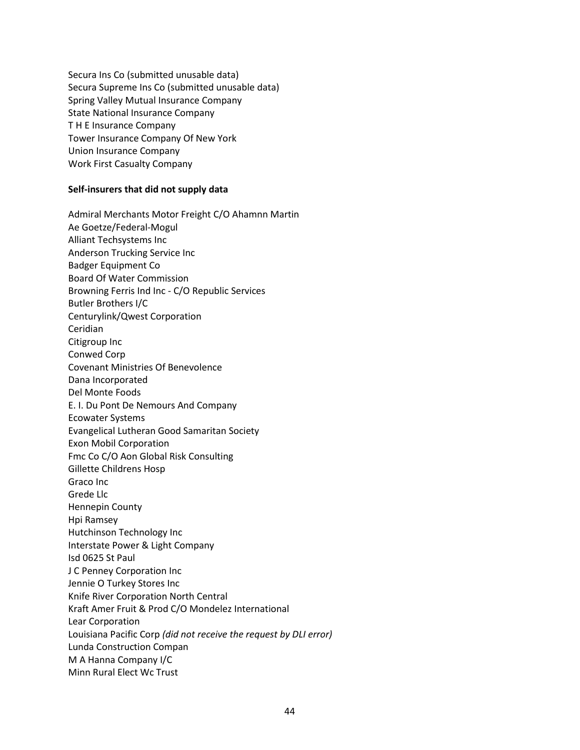Secura Ins Co (submitted unusable data) Secura Supreme Ins Co (submitted unusable data) Spring Valley Mutual Insurance Company State National Insurance Company T H E Insurance Company Tower Insurance Company Of New York Union Insurance Company Work First Casualty Company

#### **Self-insurers that did not supply data**

Admiral Merchants Motor Freight C/O Ahamnn Martin Ae Goetze/Federal-Mogul Alliant Techsystems Inc Anderson Trucking Service Inc Badger Equipment Co Board Of Water Commission Browning Ferris Ind Inc - C/O Republic Services Butler Brothers I/C Centurylink/Qwest Corporation Ceridian Citigroup Inc Conwed Corp Covenant Ministries Of Benevolence Dana Incorporated Del Monte Foods E. I. Du Pont De Nemours And Company Ecowater Systems Evangelical Lutheran Good Samaritan Society Exon Mobil Corporation Fmc Co C/O Aon Global Risk Consulting Gillette Childrens Hosp Graco Inc Grede Llc Hennepin County Hpi Ramsey Hutchinson Technology Inc Interstate Power & Light Company Isd 0625 St Paul J C Penney Corporation Inc Jennie O Turkey Stores Inc Knife River Corporation North Central Kraft Amer Fruit & Prod C/O Mondelez International Lear Corporation Louisiana Pacific Corp *(did not receive the request by DLI error)*  Lunda Construction Compan M A Hanna Company I/C Minn Rural Elect Wc Trust